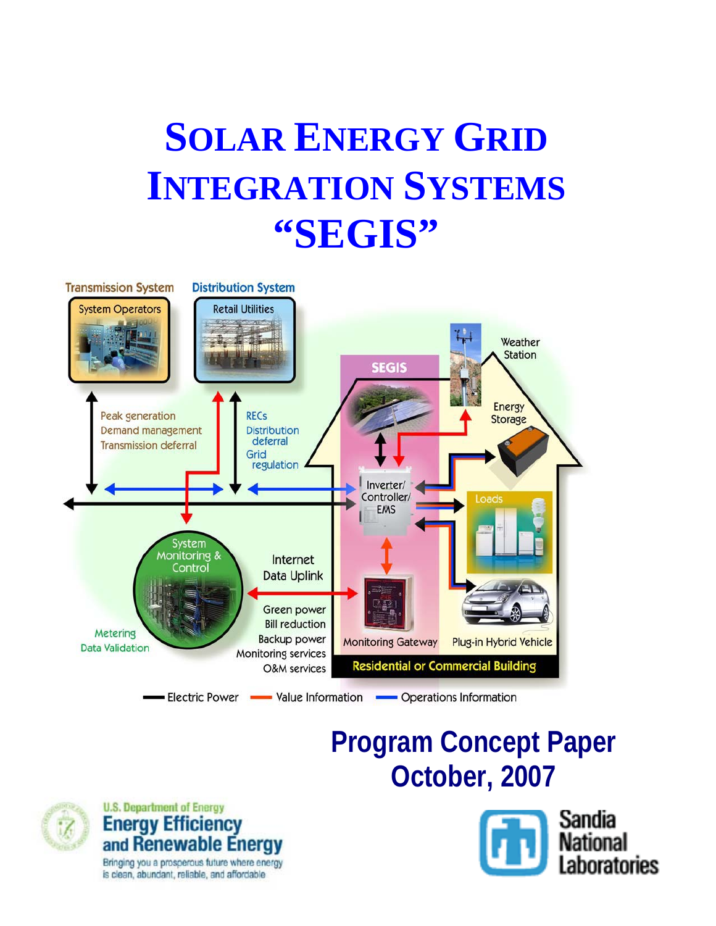# **SOLAR ENERGY GRID INTEGRATION SYSTEMS "SEGIS"**



# **Program Concept Paper October, 2007**





Bringing you a prosperous future where energy is clean, abundant, reliable, and affordable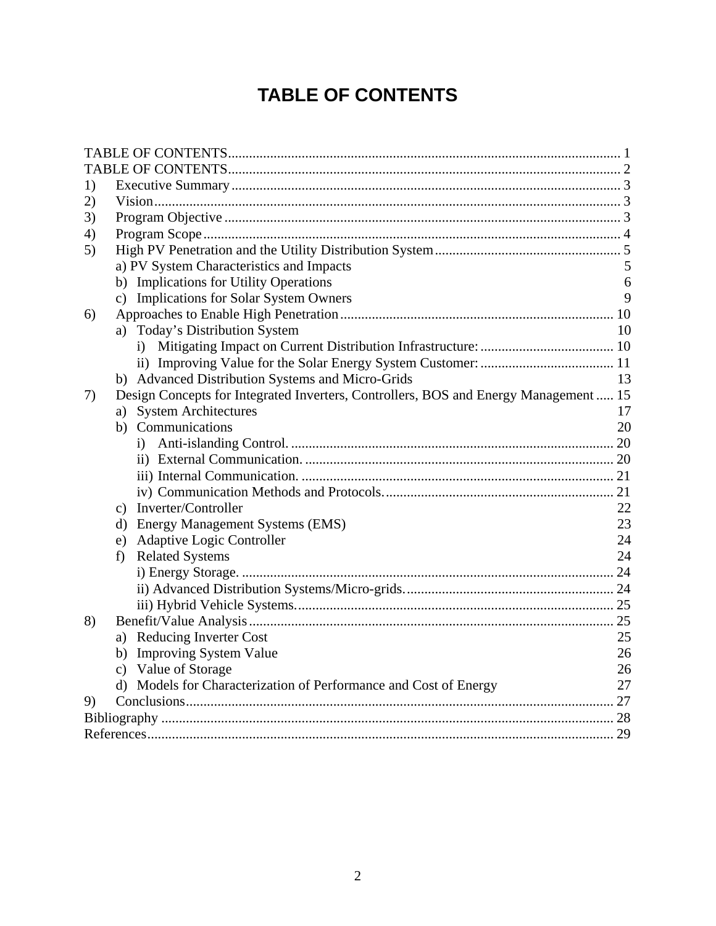# **TABLE OF CONTENTS**

<span id="page-1-0"></span>

| 1) |                                                                                      |    |  |  |
|----|--------------------------------------------------------------------------------------|----|--|--|
| 2) |                                                                                      |    |  |  |
| 3) |                                                                                      |    |  |  |
| 4) |                                                                                      |    |  |  |
| 5) |                                                                                      |    |  |  |
|    | a) PV System Characteristics and Impacts                                             |    |  |  |
|    | b) Implications for Utility Operations                                               | 6  |  |  |
|    | c) Implications for Solar System Owners                                              | 9  |  |  |
| 6) |                                                                                      |    |  |  |
|    | Today's Distribution System<br>a)                                                    | 10 |  |  |
|    | $\bf{1)}$                                                                            |    |  |  |
|    |                                                                                      |    |  |  |
|    | b) Advanced Distribution Systems and Micro-Grids                                     | 13 |  |  |
| 7) | Design Concepts for Integrated Inverters, Controllers, BOS and Energy Management  15 |    |  |  |
|    | <b>System Architectures</b><br>a)                                                    | 17 |  |  |
|    | b) Communications                                                                    | 20 |  |  |
|    |                                                                                      |    |  |  |
|    |                                                                                      |    |  |  |
|    |                                                                                      |    |  |  |
|    |                                                                                      |    |  |  |
|    | Inverter/Controller<br>$\mathbf{c})$                                                 | 22 |  |  |
|    | d) Energy Management Systems (EMS)                                                   | 23 |  |  |
|    | e) Adaptive Logic Controller                                                         | 24 |  |  |
|    | <b>Related Systems</b><br>f)                                                         | 24 |  |  |
|    |                                                                                      |    |  |  |
|    |                                                                                      |    |  |  |
|    |                                                                                      |    |  |  |
| 8) |                                                                                      |    |  |  |
|    | a) Reducing Inverter Cost                                                            | 25 |  |  |
|    | b) Improving System Value                                                            | 26 |  |  |
|    | c) Value of Storage                                                                  | 26 |  |  |
|    | d) Models for Characterization of Performance and Cost of Energy                     | 27 |  |  |
| 9) |                                                                                      |    |  |  |
|    |                                                                                      |    |  |  |
|    |                                                                                      |    |  |  |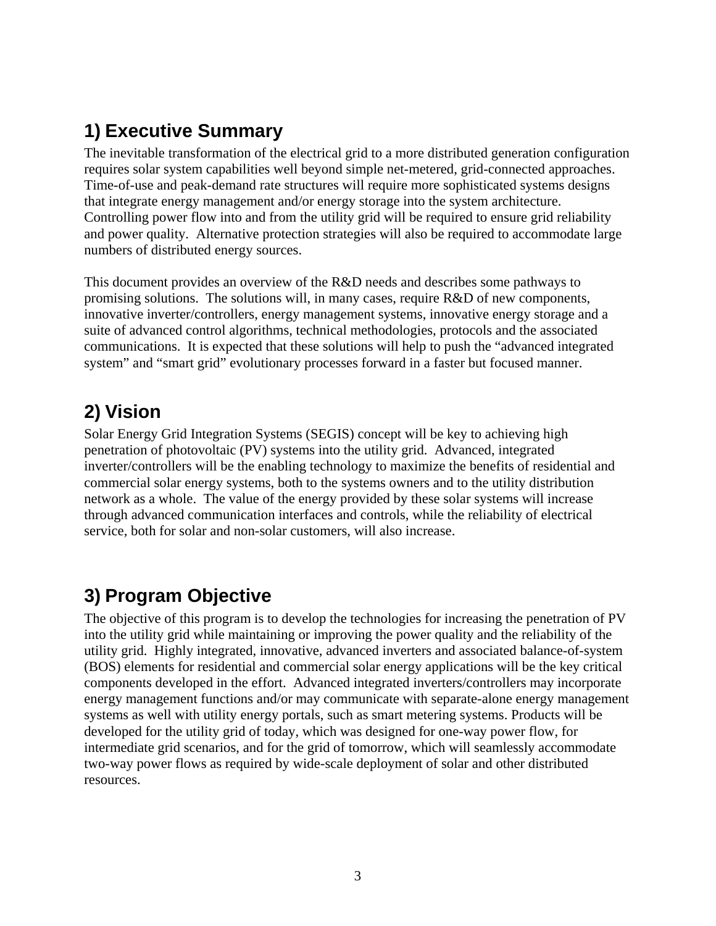# <span id="page-2-0"></span>**1) Executive Summary**

The inevitable transformation of the electrical grid to a more distributed generation configuration requires solar system capabilities well beyond simple net-metered, grid-connected approaches. Time-of-use and peak-demand rate structures will require more sophisticated systems designs that integrate energy management and/or energy storage into the system architecture. Controlling power flow into and from the utility grid will be required to ensure grid reliability and power quality. Alternative protection strategies will also be required to accommodate large numbers of distributed energy sources.

This document provides an overview of the R&D needs and describes some pathways to promising solutions. The solutions will, in many cases, require  $R&D$  of new components, innovative inverter/controllers, energy management systems, innovative energy storage and a suite of advanced control algorithms, technical methodologies, protocols and the associated communications. It is expected that these solutions will help to push the "advanced integrated system" and "smart grid" evolutionary processes forward in a faster but focused manner.

# **2) Vision**

Solar Energy Grid Integration Systems (SEGIS) concept will be key to achieving high penetration of photovoltaic (PV) systems into the utility grid. Advanced, integrated inverter/controllers will be the enabling technology to maximize the benefits of residential and commercial solar energy systems, both to the systems owners and to the utility distribution network as a whole. The value of the energy provided by these solar systems will increase through advanced communication interfaces and controls, while the reliability of electrical service, both for solar and non-solar customers, will also increase.

# **3) Program Objective**

The objective of this program is to develop the technologies for increasing the penetration of PV into the utility grid while maintaining or improving the power quality and the reliability of the utility grid. Highly integrated, innovative, advanced inverters and associated balance-of-system (BOS) elements for residential and commercial solar energy applications will be the key critical components developed in the effort. Advanced integrated inverters/controllers may incorporate energy management functions and/or may communicate with separate-alone energy management systems as well with utility energy portals, such as smart metering systems. Products will be developed for the utility grid of today, which was designed for one-way power flow, for intermediate grid scenarios, and for the grid of tomorrow, which will seamlessly accommodate two-way power flows as required by wide-scale deployment of solar and other distributed resources.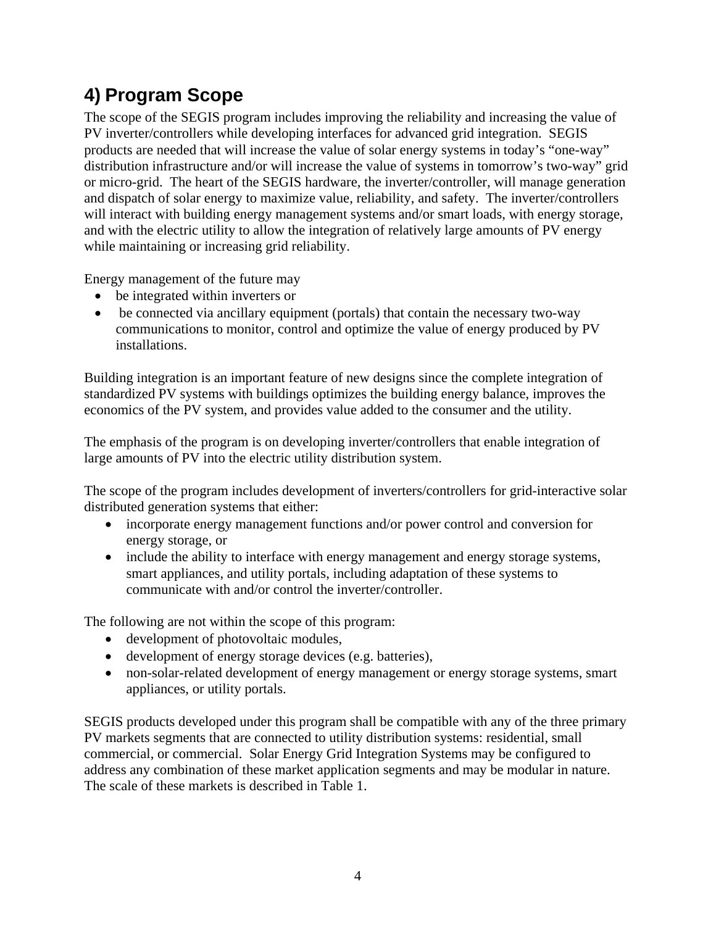# <span id="page-3-0"></span>**4) Program Scope**

The scope of the SEGIS program includes improving the reliability and increasing the value of PV inverter/controllers while developing interfaces for advanced grid integration. SEGIS products are needed that will increase the value of solar energy systems in today's "one-way" distribution infrastructure and/or will increase the value of systems in tomorrow's two-way" grid or micro-grid. The heart of the SEGIS hardware, the inverter/controller, will manage generation and dispatch of solar energy to maximize value, reliability, and safety. The inverter/controllers will interact with building energy management systems and/or smart loads, with energy storage, and with the electric utility to allow the integration of relatively large amounts of PV energy while maintaining or increasing grid reliability.

Energy management of the future may

- be integrated within inverters or
- be connected via ancillary equipment (portals) that contain the necessary two-way communications to monitor, control and optimize the value of energy produced by PV installations.

Building integration is an important feature of new designs since the complete integration of standardized PV systems with buildings optimizes the building energy balance, improves the economics of the PV system, and provides value added to the consumer and the utility.

The emphasis of the program is on developing inverter/controllers that enable integration of large amounts of PV into the electric utility distribution system.

The scope of the program includes development of inverters/controllers for grid-interactive solar distributed generation systems that either:

- incorporate energy management functions and/or power control and conversion for energy storage, or
- include the ability to interface with energy management and energy storage systems, smart appliances, and utility portals, including adaptation of these systems to communicate with and/or control the inverter/controller.

The following are not within the scope of this program:

- development of photovoltaic modules,
- development of energy storage devices (e.g. batteries),
- non-solar-related development of energy management or energy storage systems, smart appliances, or utility portals.

SEGIS products developed under this program shall be compatible with any of the three primary PV markets segments that are connected to utility distribution systems: residential, small commercial, or commercial. Solar Energy Grid Integration Systems may be configured to address any combination of these market application segments and may be modular in nature. The scale of these markets is described in Table 1.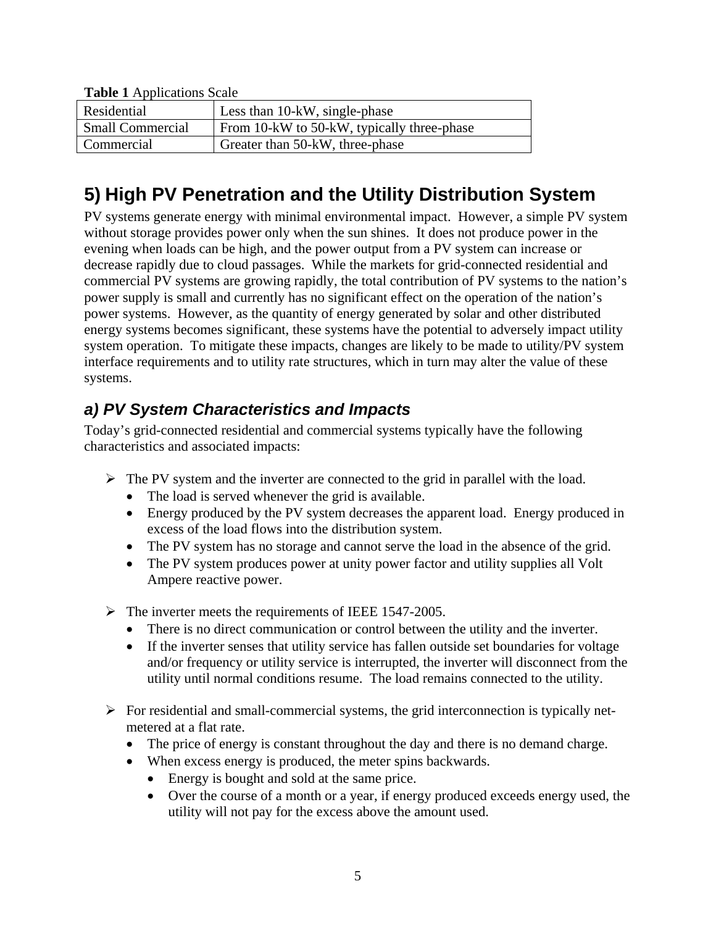| <b>raphy i</b> <i>ripplications</i> bear |                                            |  |  |
|------------------------------------------|--------------------------------------------|--|--|
| Residential                              | Less than 10-kW, single-phase              |  |  |
| <b>Small Commercial</b>                  | From 10-kW to 50-kW, typically three-phase |  |  |
| Commercial                               | Greater than 50-kW, three-phase            |  |  |

#### <span id="page-4-0"></span>**Table 1** Applications Scale

# **5) High PV Penetration and the Utility Distribution System**

PV systems generate energy with minimal environmental impact. However, a simple PV system without storage provides power only when the sun shines. It does not produce power in the evening when loads can be high, and the power output from a PV system can increase or decrease rapidly due to cloud passages. While the markets for grid-connected residential and commercial PV systems are growing rapidly, the total contribution of PV systems to the nation's power supply is small and currently has no significant effect on the operation of the nation's power systems. However, as the quantity of energy generated by solar and other distributed energy systems becomes significant, these systems have the potential to adversely impact utility system operation. To mitigate these impacts, changes are likely to be made to utility/PV system interface requirements and to utility rate structures, which in turn may alter the value of these systems.

### *a) PV System Characteristics and Impacts*

Today's grid-connected residential and commercial systems typically have the following characteristics and associated impacts:

- $\triangleright$  The PV system and the inverter are connected to the grid in parallel with the load.
	- The load is served whenever the grid is available.
	- Energy produced by the PV system decreases the apparent load. Energy produced in excess of the load flows into the distribution system.
	- The PV system has no storage and cannot serve the load in the absence of the grid.
	- The PV system produces power at unity power factor and utility supplies all Volt Ampere reactive power.
- $\triangleright$  The inverter meets the requirements of IEEE 1547-2005.
	- There is no direct communication or control between the utility and the inverter.
	- If the inverter senses that utility service has fallen outside set boundaries for voltage and/or frequency or utility service is interrupted, the inverter will disconnect from the utility until normal conditions resume. The load remains connected to the utility.
- $\triangleright$  For residential and small-commercial systems, the grid interconnection is typically netmetered at a flat rate.
	- The price of energy is constant throughout the day and there is no demand charge.
	- When excess energy is produced, the meter spins backwards.
		- Energy is bought and sold at the same price.
		- Over the course of a month or a year, if energy produced exceeds energy used, the utility will not pay for the excess above the amount used.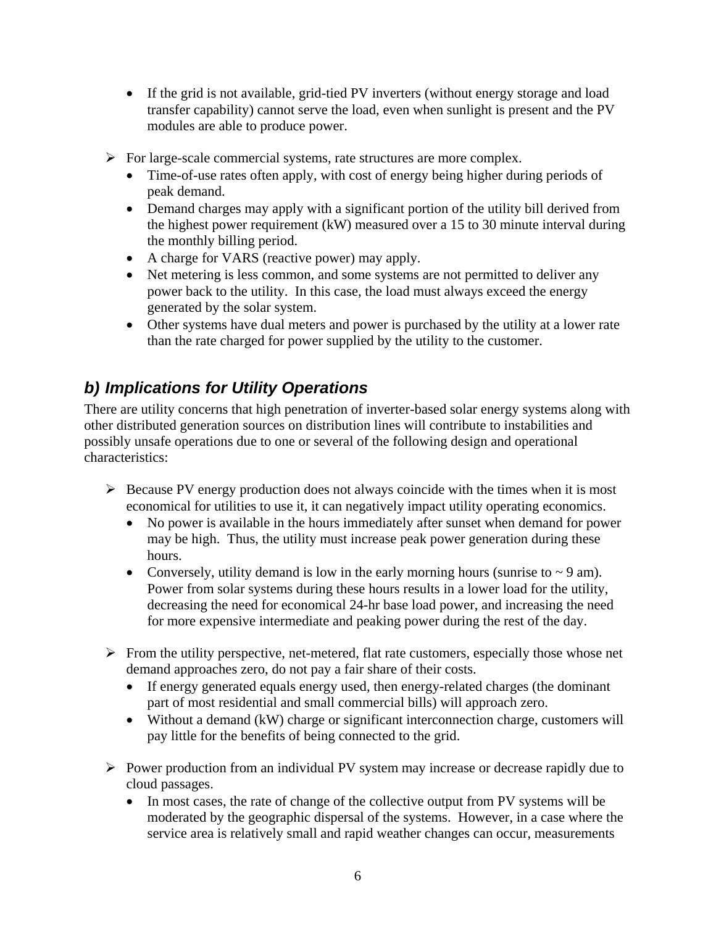- <span id="page-5-0"></span>• If the grid is not available, grid-tied PV inverters (without energy storage and load transfer capability) cannot serve the load, even when sunlight is present and the PV modules are able to produce power.
- $\triangleright$  For large-scale commercial systems, rate structures are more complex.
	- Time-of-use rates often apply, with cost of energy being higher during periods of peak demand.
	- Demand charges may apply with a significant portion of the utility bill derived from the highest power requirement (kW) measured over a 15 to 30 minute interval during the monthly billing period.
	- A charge for VARS (reactive power) may apply.
	- Net metering is less common, and some systems are not permitted to deliver any power back to the utility. In this case, the load must always exceed the energy generated by the solar system.
	- Other systems have dual meters and power is purchased by the utility at a lower rate than the rate charged for power supplied by the utility to the customer.

# *b) Implications for Utility Operations*

There are utility concerns that high penetration of inverter-based solar energy systems along with other distributed generation sources on distribution lines will contribute to instabilities and possibly unsafe operations due to one or several of the following design and operational characteristics:

- $\triangleright$  Because PV energy production does not always coincide with the times when it is most economical for utilities to use it, it can negatively impact utility operating economics.
	- No power is available in the hours immediately after sunset when demand for power may be high. Thus, the utility must increase peak power generation during these hours.
	- Conversely, utility demand is low in the early morning hours (sunrise to  $\sim$  9 am). Power from solar systems during these hours results in a lower load for the utility, decreasing the need for economical 24-hr base load power, and increasing the need for more expensive intermediate and peaking power during the rest of the day.
- $\triangleright$  From the utility perspective, net-metered, flat rate customers, especially those whose net demand approaches zero, do not pay a fair share of their costs.
	- If energy generated equals energy used, then energy-related charges (the dominant part of most residential and small commercial bills) will approach zero.
	- Without a demand (kW) charge or significant interconnection charge, customers will pay little for the benefits of being connected to the grid.
- $\triangleright$  Power production from an individual PV system may increase or decrease rapidly due to cloud passages.
	- In most cases, the rate of change of the collective output from PV systems will be moderated by the geographic dispersal of the systems. However, in a case where the service area is relatively small and rapid weather changes can occur, measurements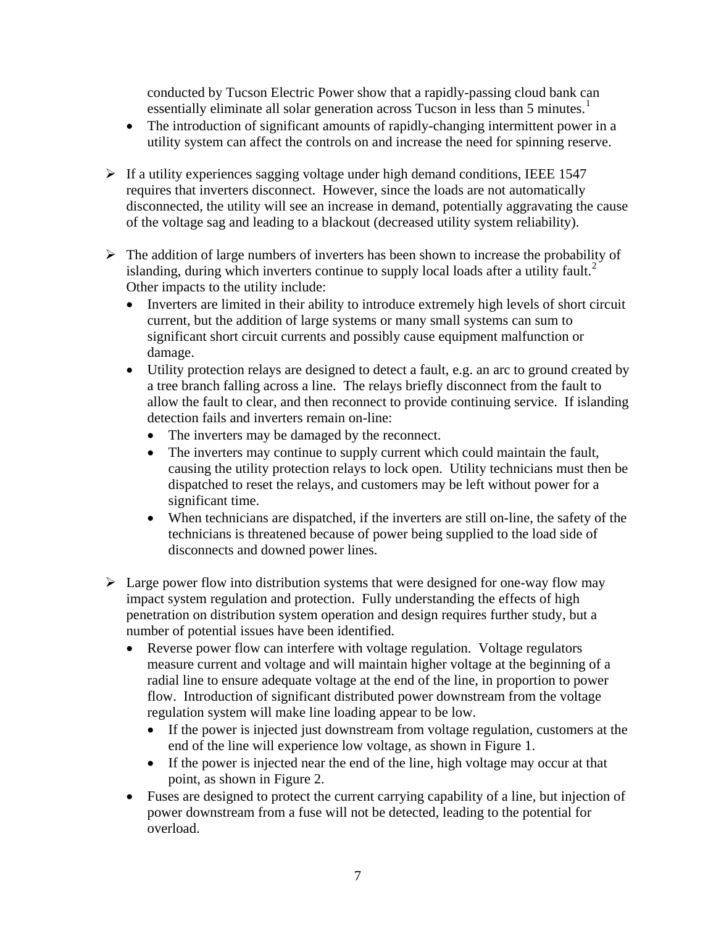conducted by Tucson Electric Power show that a rapidly-passing cloud bank can essentially eliminate all solar generation across Tucson in less than 5 minutes.<sup>1</sup>

- The introduction of significant amounts of rapidly-changing intermittent power in a utility system can affect the controls on and increase the need for spinning reserve.
- <span id="page-6-0"></span> $\triangleright$  If a utility experiences sagging voltage under high demand conditions, IEEE 1547 requires that inverters disconnect. However, since the loads are not automatically disconnected, the utility will see an increase in demand, potentially aggravating the cause of the voltage sag and leading to a blackout (decreased utility system reliability).
- $\triangleright$  The addition of large numbers of inverters has been shown to increase the probability of islanding, during which inverters continue to supply local loads after a utility fault.<sup>[2](#page-28-1)</sup> Other impacts to the utility include:
	- Inverters are limited in their ability to introduce extremely high levels of short circuit current, but the addition of large systems or many small systems can sum to significant short circuit currents and possibly cause equipment malfunction or damage.
	- Utility protection relays are designed to detect a fault, e.g. an arc to ground created by a tree branch falling across a line. The relays briefly disconnect from the fault to allow the fault to clear, and then reconnect to provide continuing service. If islanding detection fails and inverters remain on-line:
		- The inverters may be damaged by the reconnect.
		- The inverters may continue to supply current which could maintain the fault, causing the utility protection relays to lock open. Utility technicians must then be dispatched to reset the relays, and customers may be left without power for a significant time.
		- When technicians are dispatched, if the inverters are still on-line, the safety of the technicians is threatened because of power being supplied to the load side of disconnects and downed power lines.
- $\triangleright$  Large power flow into distribution systems that were designed for one-way flow may impact system regulation and protection. Fully understanding the effects of high penetration on distribution system operation and design requires further study, but a number of potential issues have been identified.
	- Reverse power flow can interfere with voltage regulation. Voltage regulators measure current and voltage and will maintain higher voltage at the beginning of a radial line to ensure adequate voltage at the end of the line, in proportion to power flow. Introduction of significant distributed power downstream from the voltage regulation system will make line loading appear to be low.
		- If the power is injected just downstream from voltage regulation, customers at the end of the line will experience low voltage, as shown in Figure 1.
		- If the power is injected near the end of the line, high voltage may occur at that point, as shown in Figure 2.
	- Fuses are designed to protect the current carrying capability of a line, but injection of power downstream from a fuse will not be detected, leading to the potential for overload.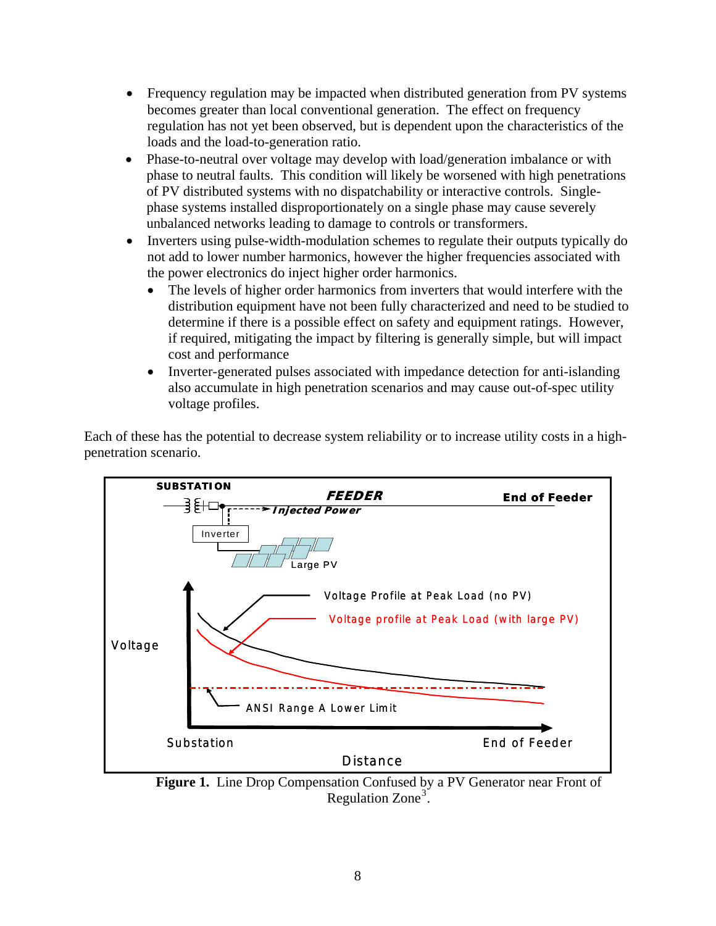- Frequency regulation may be impacted when distributed generation from PV systems becomes greater than local conventional generation. The effect on frequency regulation has not yet been observed, but is dependent upon the characteristics of the loads and the load-to-generation ratio.
- Phase-to-neutral over voltage may develop with load/generation imbalance or with phase to neutral faults. This condition will likely be worsened with high penetrations of PV distributed systems with no dispatchability or interactive controls. Singlephase systems installed disproportionately on a single phase may cause severely unbalanced networks leading to damage to controls or transformers.
- Inverters using pulse-width-modulation schemes to regulate their outputs typically do not add to lower number harmonics, however the higher frequencies associated with the power electronics do inject higher order harmonics.
	- The levels of higher order harmonics from inverters that would interfere with the distribution equipment have not been fully characterized and need to be studied to determine if there is a possible effect on safety and equipment ratings. However, if required, mitigating the impact by filtering is generally simple, but will impact cost and performance
	- Inverter-generated pulses associated with impedance detection for anti-islanding also accumulate in high penetration scenarios and may cause out-of-spec utility voltage profiles.

Each of these has the potential to decrease system reliability or to increase utility costs in a highpenetration scenario.



<span id="page-7-0"></span>**Figure 1.** Line Drop Compensation Confused by a PV Generator near Front of Regulation  $Zone<sup>3</sup>$  $Zone<sup>3</sup>$  $Zone<sup>3</sup>$ .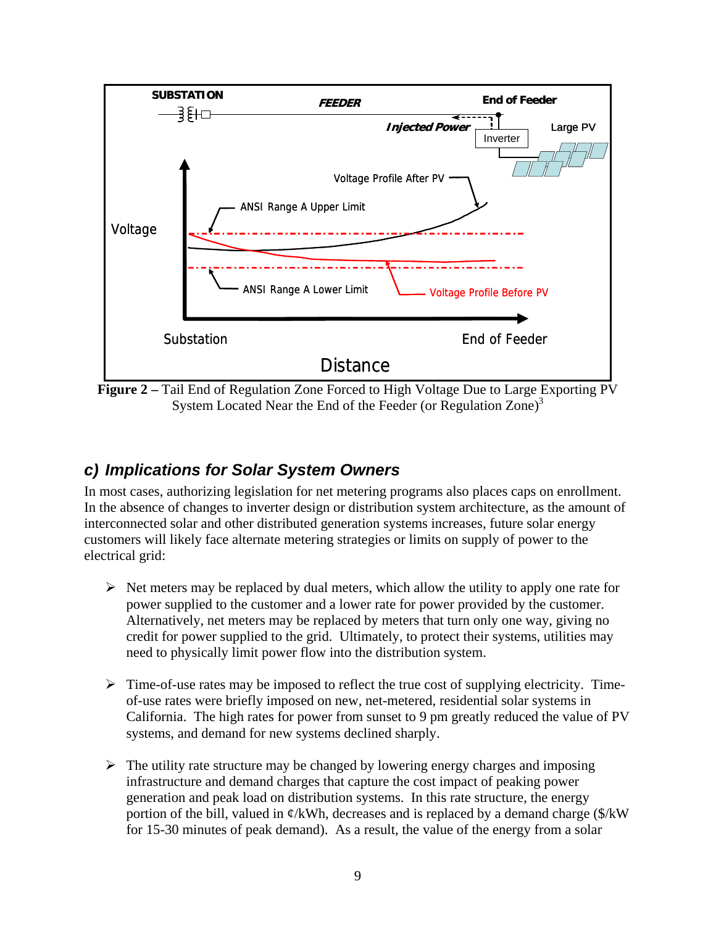<span id="page-8-0"></span>

**Figure 2 –** Tail End of Regulation Zone Forced to High Voltage Due to Large [E](#page-7-0)xporting PV System Located Near the End of the Feeder (or Regulation Zone)<sup>[3](#page-7-0)</sup>

### *c) Implications for Solar System Owners*

In most cases, authorizing legislation for net metering programs also places caps on enrollment. In the absence of changes to inverter design or distribution system architecture, as the amount of interconnected solar and other distributed generation systems increases, future solar energy customers will likely face alternate metering strategies or limits on supply of power to the electrical grid:

- $\triangleright$  Net meters may be replaced by dual meters, which allow the utility to apply one rate for power supplied to the customer and a lower rate for power provided by the customer. Alternatively, net meters may be replaced by meters that turn only one way, giving no credit for power supplied to the grid. Ultimately, to protect their systems, utilities may need to physically limit power flow into the distribution system.
- $\triangleright$  Time-of-use rates may be imposed to reflect the true cost of supplying electricity. Timeof-use rates were briefly imposed on new, net-metered, residential solar systems in California. The high rates for power from sunset to 9 pm greatly reduced the value of PV systems, and demand for new systems declined sharply.
- $\triangleright$  The utility rate structure may be changed by lowering energy charges and imposing infrastructure and demand charges that capture the cost impact of peaking power generation and peak load on distribution systems. In this rate structure, the energy portion of the bill, valued in  $\varphi$ /kWh, decreases and is replaced by a demand charge (\$/kW) for 15-30 minutes of peak demand). As a result, the value of the energy from a solar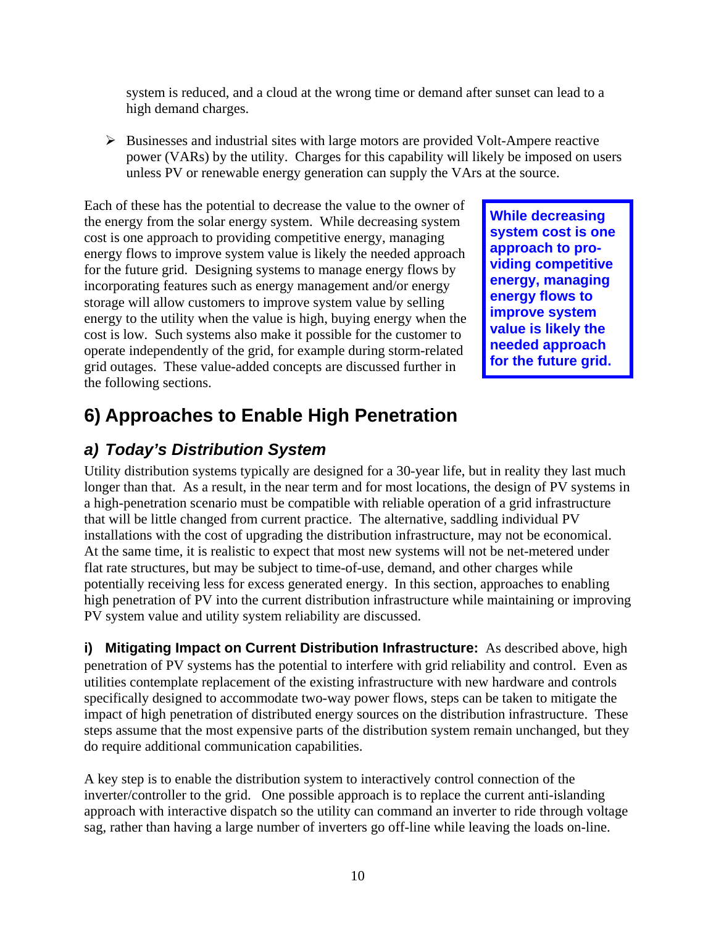<span id="page-9-0"></span>system is reduced, and a cloud at the wrong time or demand after sunset can lead to a high demand charges.

 $\triangleright$  Businesses and industrial sites with large motors are provided Volt-Ampere reactive power (VARs) by the utility. Charges for this capability will likely be imposed on users unless PV or renewable energy generation can supply the VArs at the source.

Each of these has the potential to decrease the value to the owner of the energy from the solar energy system. While decreasing system cost is one approach to providing competitive energy, managing energy flows to improve system value is likely the needed approach for the future grid. Designing systems to manage energy flows by incorporating features such as energy management and/or energy storage will allow customers to improve system value by selling energy to the utility when the value is high, buying energy when the cost is low. Such systems also make it possible for the customer to operate independently of the grid, for example during storm-related grid outages. These value-added concepts are discussed further in the following sections.

**While decreasing system cost is one approach to providing competitive energy, managing energy flows to improve system value is likely the needed approach for the future grid.** 

# **6) Approaches to Enable High Penetration**

## *a) Today's Distribution System*

Utility distribution systems typically are designed for a 30-year life, but in reality they last much longer than that. As a result, in the near term and for most locations, the design of PV systems in a high-penetration scenario must be compatible with reliable operation of a grid infrastructure that will be little changed from current practice. The alternative, saddling individual PV installations with the cost of upgrading the distribution infrastructure, may not be economical. At the same time, it is realistic to expect that most new systems will not be net-metered under flat rate structures, but may be subject to time-of-use, demand, and other charges while potentially receiving less for excess generated energy. In this section, approaches to enabling high penetration of PV into the current distribution infrastructure while maintaining or improving PV system value and utility system reliability are discussed.

**i) Mitigating Impact on Current Distribution Infrastructure:** As described above, high penetration of PV systems has the potential to interfere with grid reliability and control. Even as utilities contemplate replacement of the existing infrastructure with new hardware and controls specifically designed to accommodate two-way power flows, steps can be taken to mitigate the impact of high penetration of distributed energy sources on the distribution infrastructure. These steps assume that the most expensive parts of the distribution system remain unchanged, but they do require additional communication capabilities.

A key step is to enable the distribution system to interactively control connection of the inverter/controller to the grid. One possible approach is to replace the current anti-islanding approach with interactive dispatch so the utility can command an inverter to ride through voltage sag, rather than having a large number of inverters go off-line while leaving the loads on-line.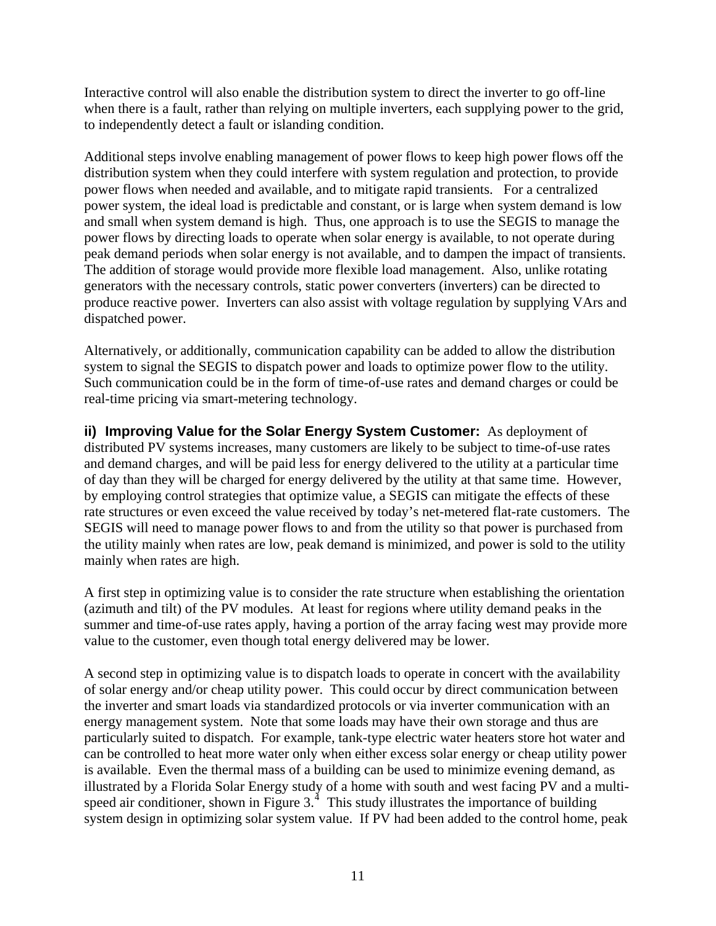<span id="page-10-0"></span>Interactive control will also enable the distribution system to direct the inverter to go off-line when there is a fault, rather than relying on multiple inverters, each supplying power to the grid, to independently detect a fault or islanding condition.

Additional steps involve enabling management of power flows to keep high power flows off the distribution system when they could interfere with system regulation and protection, to provide power flows when needed and available, and to mitigate rapid transients. For a centralized power system, the ideal load is predictable and constant, or is large when system demand is low and small when system demand is high. Thus, one approach is to use the SEGIS to manage the power flows by directing loads to operate when solar energy is available, to not operate during peak demand periods when solar energy is not available, and to dampen the impact of transients. The addition of storage would provide more flexible load management. Also, unlike rotating generators with the necessary controls, static power converters (inverters) can be directed to produce reactive power. Inverters can also assist with voltage regulation by supplying VArs and dispatched power.

Alternatively, or additionally, communication capability can be added to allow the distribution system to signal the SEGIS to dispatch power and loads to optimize power flow to the utility. Such communication could be in the form of time-of-use rates and demand charges or could be real-time pricing via smart-metering technology.

**ii) Improving Value for the Solar Energy System Customer:** As deployment of distributed PV systems increases, many customers are likely to be subject to time-of-use rates and demand charges, and will be paid less for energy delivered to the utility at a particular time of day than they will be charged for energy delivered by the utility at that same time. However, by employing control strategies that optimize value, a SEGIS can mitigate the effects of these rate structures or even exceed the value received by today's net-metered flat-rate customers. The SEGIS will need to manage power flows to and from the utility so that power is purchased from the utility mainly when rates are low, peak demand is minimized, and power is sold to the utility mainly when rates are high.

A first step in optimizing value is to consider the rate structure when establishing the orientation (azimuth and tilt) of the PV modules. At least for regions where utility demand peaks in the summer and time-of-use rates apply, having a portion of the array facing west may provide more value to the customer, even though total energy delivered may be lower.

<span id="page-10-1"></span>A second step in optimizing value is to dispatch loads to operate in concert with the availability of solar energy and/or cheap utility power. This could occur by direct communication between the inverter and smart loads via standardized protocols or via inverter communication with an energy management system. Note that some loads may have their own storage and thus are particularly suited to dispatch. For example, tank-type electric water heaters store hot water and can be controlled to heat more water only when either excess solar energy or cheap utility power is available. Even the thermal mass of a building can be used to minimize evening demand, as illustrated by a Florida Solar Energy study of a home with south and west facing PV and a multispeed air conditioner, shown in Figure  $3<sup>4</sup>$  $3<sup>4</sup>$  $3<sup>4</sup>$ . This study illustrates the importance of building system design in optimizing solar system value. If PV had been added to the control home, peak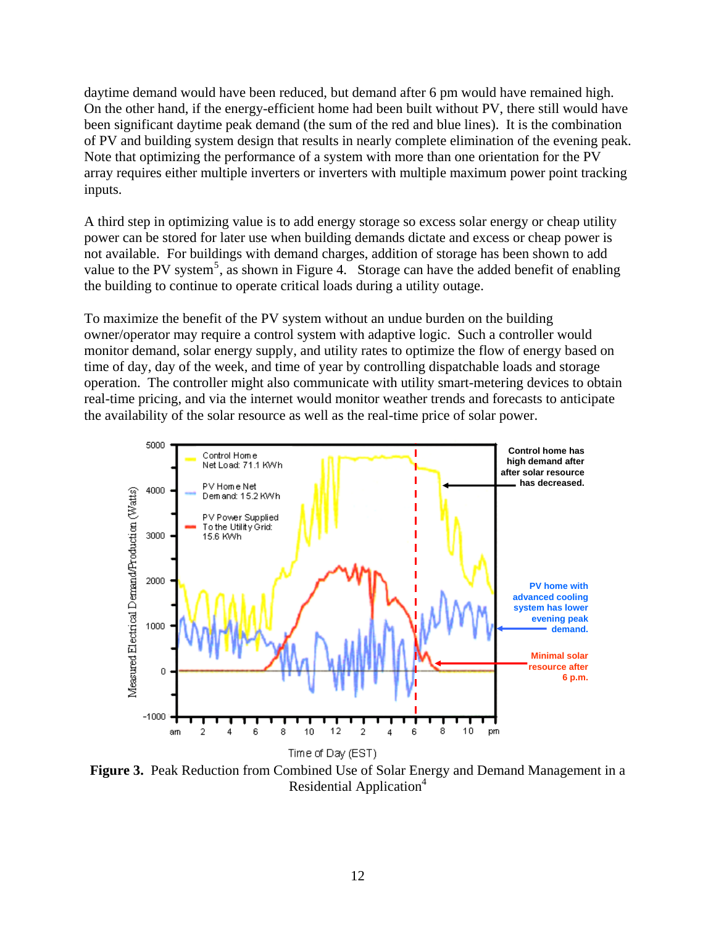daytime demand would have been reduced, but demand after 6 pm would have remained high. On the other hand, if the energy-efficient home had been built without PV, there still would have been significant daytime peak demand (the sum of the red and blue lines). It is the combination of PV and building system design that results in nearly complete elimination of the evening peak. Note that optimizing the performance of a system with more than one orientation for the PV array requires either multiple inverters or inverters with multiple maximum power point tracking inputs.

<span id="page-11-0"></span>A third step in optimizing value is to add energy storage so excess solar energy or cheap utility power can be stored for later use when building demands dictate and excess or cheap power is not available. For buildings with demand charges, addition of storage has been shown to add value to the PV system<sup>[5](#page-28-1)</sup>, as shown in Figure 4. Storage can have the added benefit of enabling the building to continue to operate critical loads during a utility outage.

To maximize the benefit of the PV system without an undue burden on the building owner/operator may require a control system with adaptive logic. Such a controller would monitor demand, solar energy supply, and utility rates to optimize the flow of energy based on time of day, day of the week, and time of year by controlling dispatchable loads and storage operation. The controller might also communicate with utility smart-metering devices to obtain real-time pricing, and via the internet would monitor weather trends and forecasts to anticipate the availability of the solar resource as well as the real-time price of solar power.



**Figure 3.** Peak Reduction from Combined Use of Solar En[e](#page-10-1)rgy and Demand Management in a Residential Application<sup>[4](#page-10-1)</sup>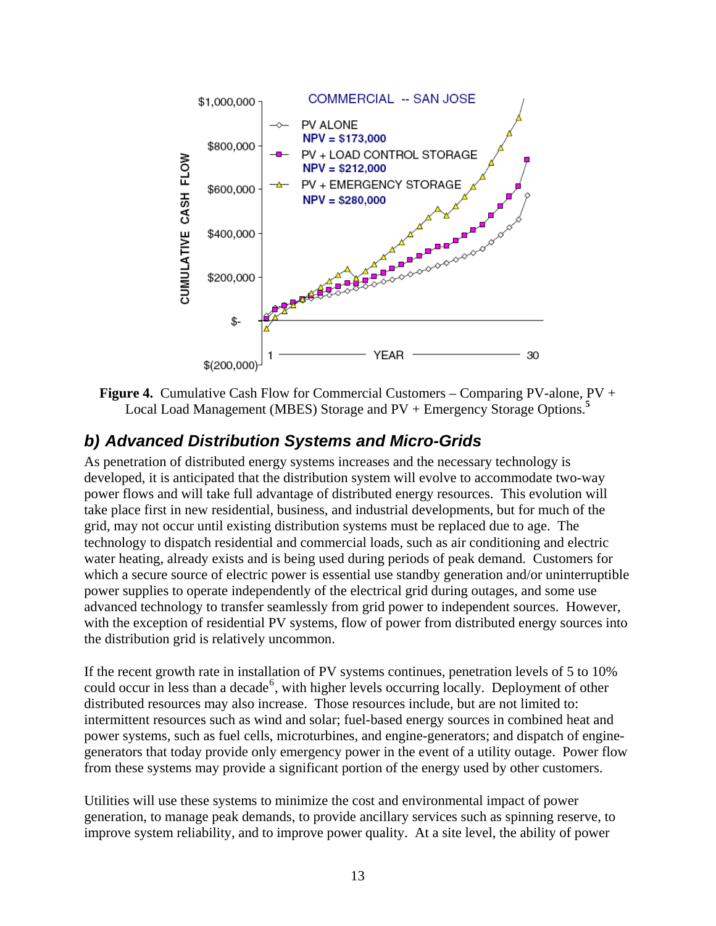<span id="page-12-0"></span>

**Figure 4.** Cumulative Cash Flow for Commercial Customers – Comparing PV-alone, PV + Local Load Management (MBES) Storage and PV + Emergency Storage Options.**[5](#page-11-0)**

### *b) Advanced Distribution Systems and Micro-Grids*

As penetration of distributed energy systems increases and the necessary technology is developed, it is anticipated that the distribution system will evolve to accommodate two-way power flows and will take full advantage of distributed energy resources. This evolution will take place first in new residential, business, and industrial developments, but for much of the grid, may not occur until existing distribution systems must be replaced due to age. The technology to dispatch residential and commercial loads, such as air conditioning and electric water heating, already exists and is being used during periods of peak demand. Customers for which a secure source of electric power is essential use standby generation and/or uninterruptible power supplies to operate independently of the electrical grid during outages, and some use advanced technology to transfer seamlessly from grid power to independent sources. However, with the exception of residential PV systems, flow of power from distributed energy sources into the distribution grid is relatively uncommon.

If the recent growth rate in installation of PV systems continues, penetration levels of 5 to 10% could occur in less than a decade<sup>[6](#page-28-1)</sup>, with higher levels occurring locally. Deployment of other distributed resources may also increase. Those resources include, but are not limited to: intermittent resources such as wind and solar; fuel-based energy sources in combined heat and power systems, such as fuel cells, microturbines, and engine-generators; and dispatch of enginegenerators that today provide only emergency power in the event of a utility outage. Power flow from these systems may provide a significant portion of the energy used by other customers.

Utilities will use these systems to minimize the cost and environmental impact of power generation, to manage peak demands, to provide ancillary services such as spinning reserve, to improve system reliability, and to improve power quality. At a site level, the ability of power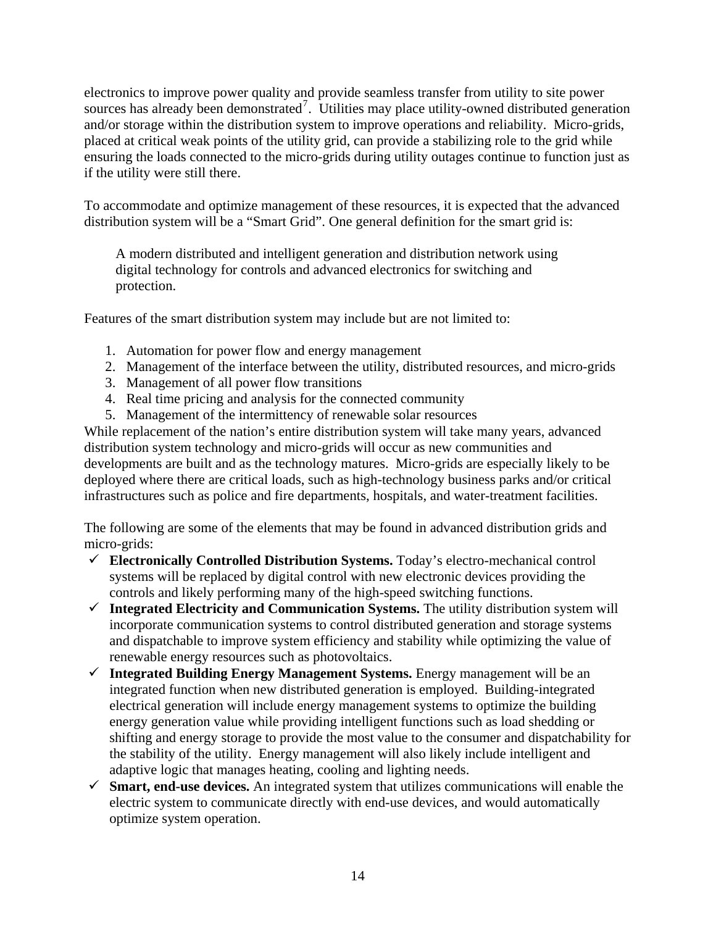electronics to improve power quality and provide seamless transfer from utility to site power sources has already been demonstrated<sup>[7](#page-28-1)</sup>. Utilities may place utility-owned distributed generation and/or storage within the distribution system to improve operations and reliability. Micro-grids, placed at critical weak points of the utility grid, can provide a stabilizing role to the grid while ensuring the loads connected to the micro-grids during utility outages continue to function just as if the utility were still there.

To accommodate and optimize management of these resources, it is expected that the advanced distribution system will be a "Smart Grid". One general definition for the smart grid is:

A modern distributed and intelligent generation and distribution network using digital technology for controls and advanced electronics for switching and protection.

Features of the smart distribution system may include but are not limited to:

- 1. Automation for power flow and energy management
- 2. Management of the interface between the utility, distributed resources, and micro-grids
- 3. Management of all power flow transitions
- 4. Real time pricing and analysis for the connected community
- 5. Management of the intermittency of renewable solar resources

While replacement of the nation's entire distribution system will take many years, advanced distribution system technology and micro-grids will occur as new communities and developments are built and as the technology matures. Micro-grids are especially likely to be deployed where there are critical loads, such as high-technology business parks and/or critical infrastructures such as police and fire departments, hospitals, and water-treatment facilities.

The following are some of the elements that may be found in advanced distribution grids and micro-grids:

- 9 **Electronically Controlled Distribution Systems.** Today's electro-mechanical control systems will be replaced by digital control with new electronic devices providing the controls and likely performing many of the high-speed switching functions.
- 9 **Integrated Electricity and Communication Systems.** The utility distribution system will incorporate communication systems to control distributed generation and storage systems and dispatchable to improve system efficiency and stability while optimizing the value of renewable energy resources such as photovoltaics.
- 9 **Integrated Building Energy Management Systems.** Energy management will be an integrated function when new distributed generation is employed. Building-integrated electrical generation will include energy management systems to optimize the building energy generation value while providing intelligent functions such as load shedding or shifting and energy storage to provide the most value to the consumer and dispatchability for the stability of the utility. Energy management will also likely include intelligent and adaptive logic that manages heating, cooling and lighting needs.
- $\checkmark$  **Smart, end-use devices.** An integrated system that utilizes communications will enable the electric system to communicate directly with end-use devices, and would automatically optimize system operation.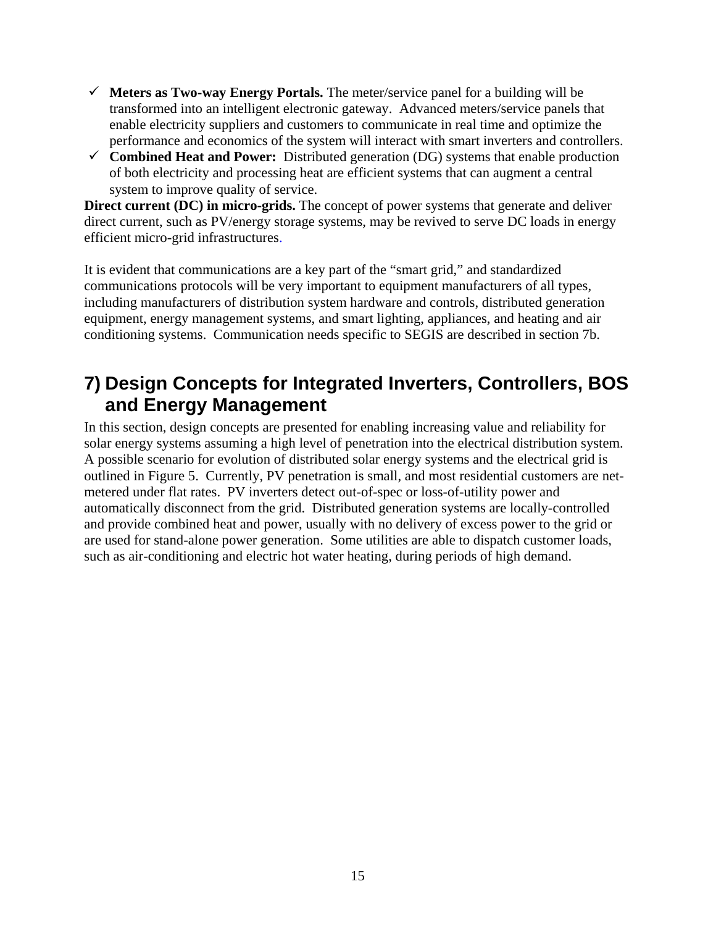- <span id="page-14-0"></span> $\checkmark$  **Meters as Two-way Energy Portals.** The meter/service panel for a building will be transformed into an intelligent electronic gateway. Advanced meters/service panels that enable electricity suppliers and customers to communicate in real time and optimize the performance and economics of the system will interact with smart inverters and controllers.
- $\checkmark$  **Combined Heat and Power:** Distributed generation (DG) systems that enable production of both electricity and processing heat are efficient systems that can augment a central system to improve quality of service.

**Direct current (DC) in micro-grids.** The concept of power systems that generate and deliver direct current, such as PV/energy storage systems, may be revived to serve DC loads in energy efficient micro-grid infrastructures.

It is evident that communications are a key part of the "smart grid," and standardized communications protocols will be very important to equipment manufacturers of all types, including manufacturers of distribution system hardware and controls, distributed generation equipment, energy management systems, and smart lighting, appliances, and heating and air conditioning systems. Communication needs specific to SEGIS are described in section 7b.

# **7) Design Concepts for Integrated Inverters, Controllers, BOS and Energy Management**

In this section, design concepts are presented for enabling increasing value and reliability for solar energy systems assuming a high level of penetration into the electrical distribution system. A possible scenario for evolution of distributed solar energy systems and the electrical grid is outlined in Figure 5. Currently, PV penetration is small, and most residential customers are netmetered under flat rates. PV inverters detect out-of-spec or loss-of-utility power and automatically disconnect from the grid. Distributed generation systems are locally-controlled and provide combined heat and power, usually with no delivery of excess power to the grid or are used for stand-alone power generation. Some utilities are able to dispatch customer loads, such as air-conditioning and electric hot water heating, during periods of high demand.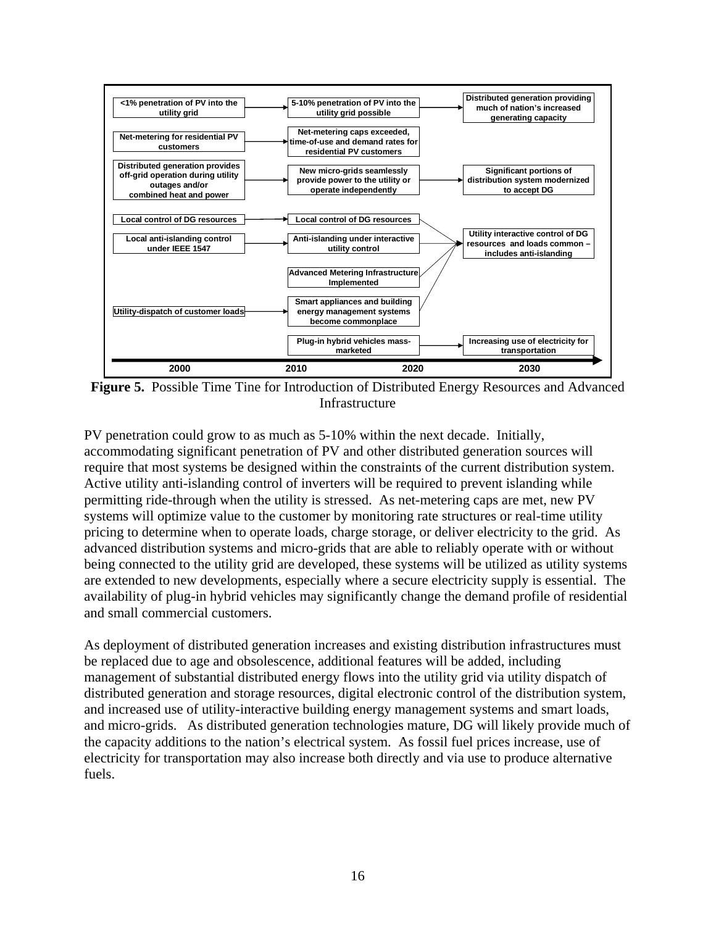

**Figure 5.** Possible Time Tine for Introduction of Distributed Energy Resources and Advanced Infrastructure

PV penetration could grow to as much as 5-10% within the next decade. Initially, accommodating significant penetration of PV and other distributed generation sources will require that most systems be designed within the constraints of the current distribution system. Active utility anti-islanding control of inverters will be required to prevent islanding while permitting ride-through when the utility is stressed. As net-metering caps are met, new PV systems will optimize value to the customer by monitoring rate structures or real-time utility pricing to determine when to operate loads, charge storage, or deliver electricity to the grid. As advanced distribution systems and micro-grids that are able to reliably operate with or without being connected to the utility grid are developed, these systems will be utilized as utility systems are extended to new developments, especially where a secure electricity supply is essential. The availability of plug-in hybrid vehicles may significantly change the demand profile of residential and small commercial customers.

As deployment of distributed generation increases and existing distribution infrastructures must be replaced due to age and obsolescence, additional features will be added, including management of substantial distributed energy flows into the utility grid via utility dispatch of distributed generation and storage resources, digital electronic control of the distribution system, and increased use of utility-interactive building energy management systems and smart loads, and micro-grids. As distributed generation technologies mature, DG will likely provide much of the capacity additions to the nation's electrical system. As fossil fuel prices increase, use of electricity for transportation may also increase both directly and via use to produce alternative fuels.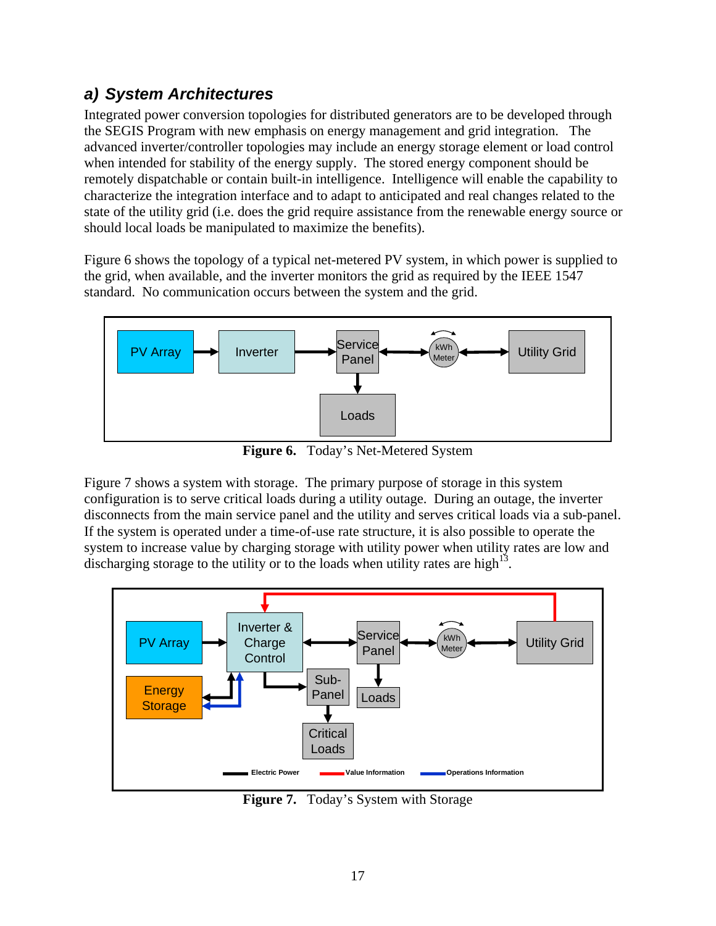## <span id="page-16-0"></span>*a) System Architectures*

Integrated power conversion topologies for distributed generators are to be developed through the SEGIS Program with new emphasis on energy management and grid integration. The advanced inverter/controller topologies may include an energy storage element or load control when intended for stability of the energy supply. The stored energy component should be remotely dispatchable or contain built-in intelligence. Intelligence will enable the capability to characterize the integration interface and to adapt to anticipated and real changes related to the state of the utility grid (i.e. does the grid require assistance from the renewable energy source or should local loads be manipulated to maximize the benefits).

Figure 6 shows the topology of a typical net-metered PV system, in which power is supplied to the grid, when available, and the inverter monitors the grid as required by the IEEE 1547 standard. No communication occurs between the system and the grid.



**Figure 6.** Today's Net-Metered System

Figure 7 shows a system with storage. The primary purpose of storage in this system configuration is to serve critical loads during a utility outage. During an outage, the inverter disconnects from the main service panel and the utility and serves critical loads via a sub-panel. If the system is operated under a time-of-use rate structure, it is also possible to operate the system to increase value by charging storage with utility power when utility rates are low and discharging storage to the utility or to the loads when utility rates are high<sup>13</sup>.



**Figure 7.** Today's System with Storage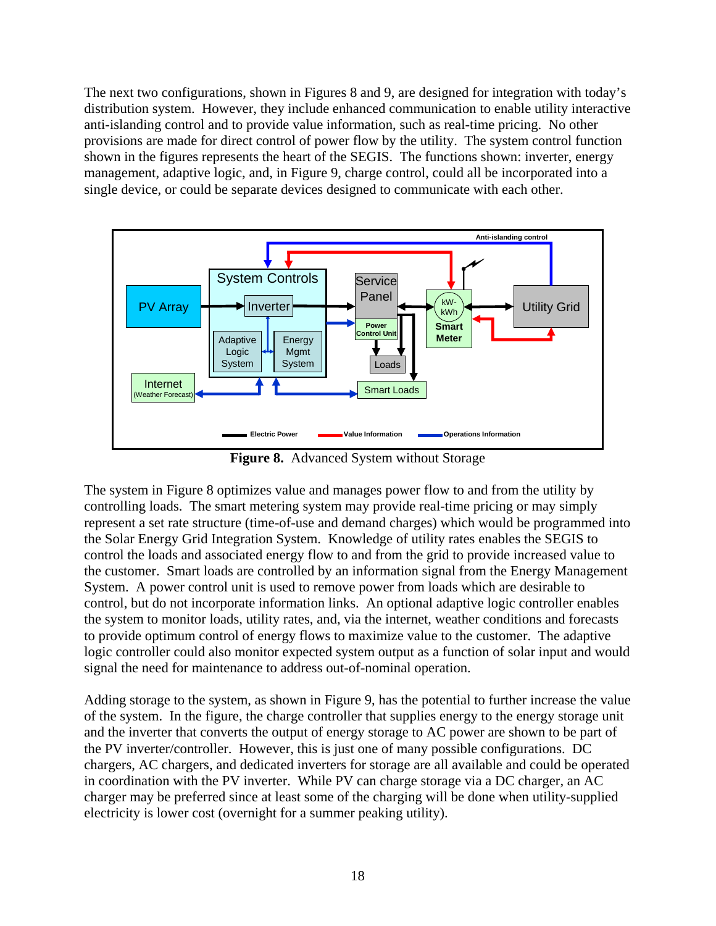The next two configurations, shown in Figures 8 and 9, are designed for integration with today's distribution system. However, they include enhanced communication to enable utility interactive anti-islanding control and to provide value information, such as real-time pricing. No other provisions are made for direct control of power flow by the utility. The system control function shown in the figures represents the heart of the SEGIS. The functions shown: inverter, energy management, adaptive logic, and, in Figure 9, charge control, could all be incorporated into a single device, or could be separate devices designed to communicate with each other.



**Figure 8.** Advanced System without Storage

The system in Figure 8 optimizes value and manages power flow to and from the utility by controlling loads. The smart metering system may provide real-time pricing or may simply represent a set rate structure (time-of-use and demand charges) which would be programmed into the Solar Energy Grid Integration System. Knowledge of utility rates enables the SEGIS to control the loads and associated energy flow to and from the grid to provide increased value to the customer. Smart loads are controlled by an information signal from the Energy Management System. A power control unit is used to remove power from loads which are desirable to control, but do not incorporate information links. An optional adaptive logic controller enables the system to monitor loads, utility rates, and, via the internet, weather conditions and forecasts to provide optimum control of energy flows to maximize value to the customer. The adaptive logic controller could also monitor expected system output as a function of solar input and would signal the need for maintenance to address out-of-nominal operation.

Adding storage to the system, as shown in Figure 9, has the potential to further increase the value of the system. In the figure, the charge controller that supplies energy to the energy storage unit and the inverter that converts the output of energy storage to AC power are shown to be part of the PV inverter/controller. However, this is just one of many possible configurations. DC chargers, AC chargers, and dedicated inverters for storage are all available and could be operated in coordination with the PV inverter. While PV can charge storage via a DC charger, an AC charger may be preferred since at least some of the charging will be done when utility-supplied electricity is lower cost (overnight for a summer peaking utility).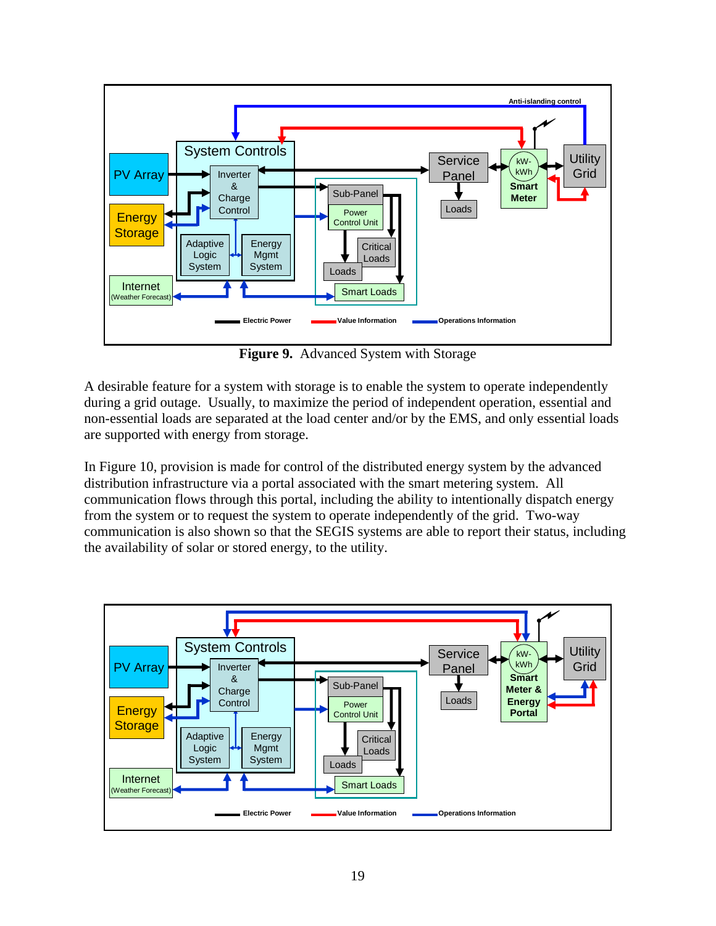

**Figure 9.** Advanced System with Storage

A desirable feature for a system with storage is to enable the system to operate independently during a grid outage. Usually, to maximize the period of independent operation, essential and non-essential loads are separated at the load center and/or by the EMS, and only essential loads are supported with energy from storage.

In Figure 10, provision is made for control of the distributed energy system by the advanced distribution infrastructure via a portal associated with the smart metering system. All communication flows through this portal, including the ability to intentionally dispatch energy from the system or to request the system to operate independently of the grid. Two-way communication is also shown so that the SEGIS systems are able to report their status, including the availability of solar or stored energy, to the utility.

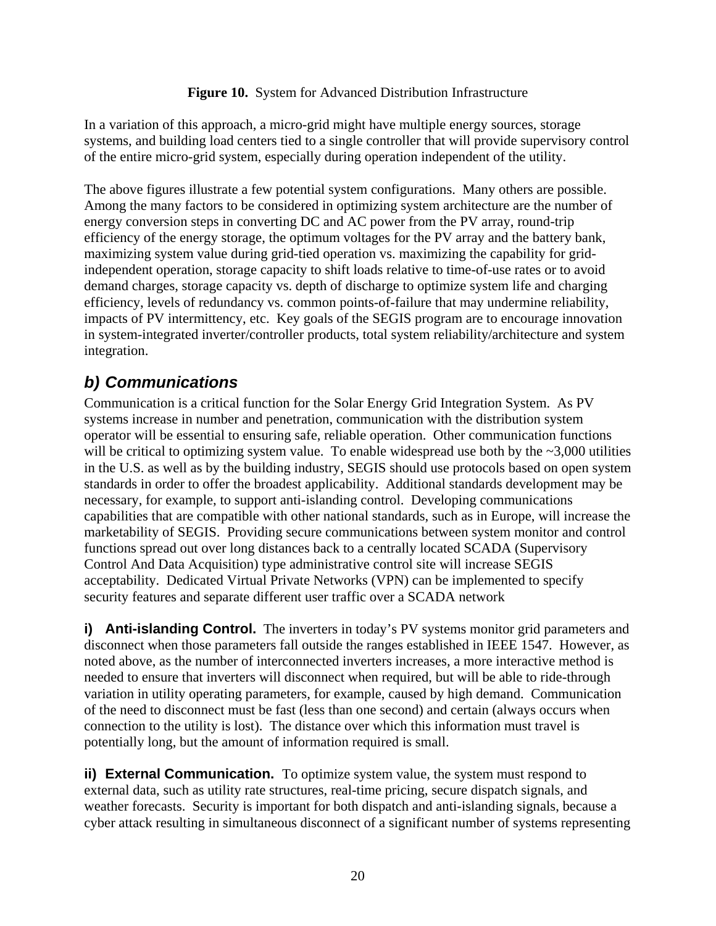#### **Figure 10.** System for Advanced Distribution Infrastructure

<span id="page-19-0"></span>In a variation of this approach, a micro-grid might have multiple energy sources, storage systems, and building load centers tied to a single controller that will provide supervisory control of the entire micro-grid system, especially during operation independent of the utility.

The above figures illustrate a few potential system configurations. Many others are possible. Among the many factors to be considered in optimizing system architecture are the number of energy conversion steps in converting DC and AC power from the PV array, round-trip efficiency of the energy storage, the optimum voltages for the PV array and the battery bank, maximizing system value during grid-tied operation vs. maximizing the capability for gridindependent operation, storage capacity to shift loads relative to time-of-use rates or to avoid demand charges, storage capacity vs. depth of discharge to optimize system life and charging efficiency, levels of redundancy vs. common points-of-failure that may undermine reliability, impacts of PV intermittency, etc. Key goals of the SEGIS program are to encourage innovation in system-integrated inverter/controller products, total system reliability/architecture and system integration.

### *b) Communications*

Communication is a critical function for the Solar Energy Grid Integration System. As PV systems increase in number and penetration, communication with the distribution system operator will be essential to ensuring safe, reliable operation. Other communication functions will be critical to optimizing system value. To enable widespread use both by the  $\sim 3,000$  utilities in the U.S. as well as by the building industry, SEGIS should use protocols based on open system standards in order to offer the broadest applicability. Additional standards development may be necessary, for example, to support anti-islanding control. Developing communications capabilities that are compatible with other national standards, such as in Europe, will increase the marketability of SEGIS. Providing secure communications between system monitor and control functions spread out over long distances back to a centrally located SCADA (Supervisory Control And Data Acquisition) type administrative control site will increase SEGIS acceptability. Dedicated Virtual Private Networks (VPN) can be implemented to specify security features and separate different user traffic over a SCADA network

**i) Anti-islanding Control.** The inverters in today's PV systems monitor grid parameters and disconnect when those parameters fall outside the ranges established in IEEE 1547. However, as noted above, as the number of interconnected inverters increases, a more interactive method is needed to ensure that inverters will disconnect when required, but will be able to ride-through variation in utility operating parameters, for example, caused by high demand. Communication of the need to disconnect must be fast (less than one second) and certain (always occurs when connection to the utility is lost). The distance over which this information must travel is potentially long, but the amount of information required is small.

**ii) External Communication.** To optimize system value, the system must respond to external data, such as utility rate structures, real-time pricing, secure dispatch signals, and weather forecasts. Security is important for both dispatch and anti-islanding signals, because a cyber attack resulting in simultaneous disconnect of a significant number of systems representing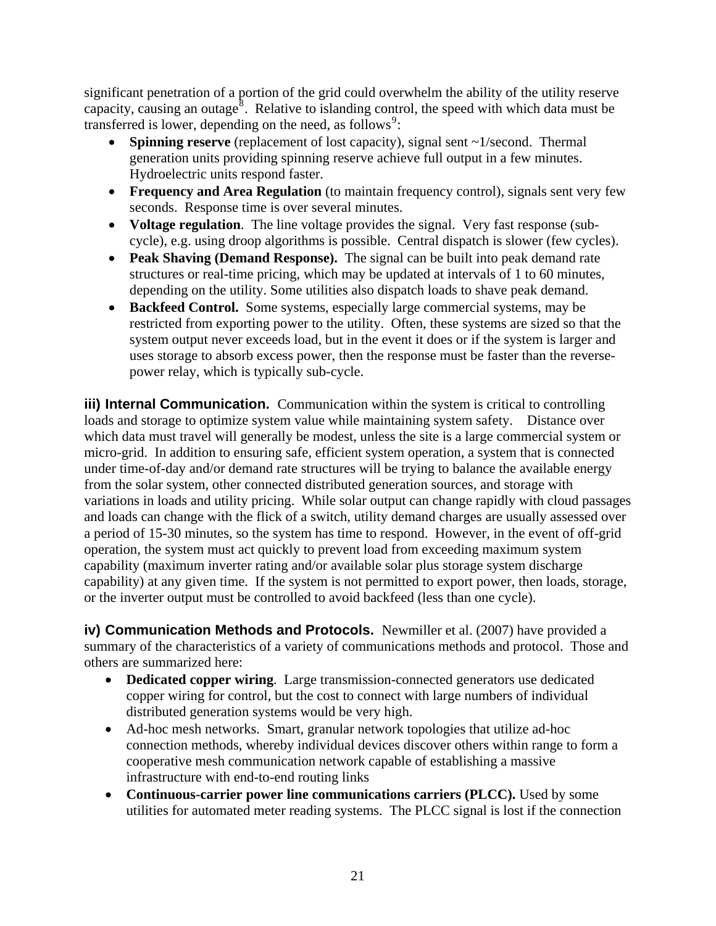<span id="page-20-0"></span>significant penetration of a portion of the grid could overwhelm the ability of the utility reserve capacity, causing an outage<sup>[8](#page-28-1)</sup>. Relative to islanding control, the speed with which data must be transferred is lower, depending on the need, as follows<sup>[9](#page-28-1)</sup>:

- **Spinning reserve** (replacement of lost capacity), signal sent ~1/second. Thermal generation units providing spinning reserve achieve full output in a few minutes. Hydroelectric units respond faster.
- **Frequency and Area Regulation** (to maintain frequency control), signals sent very few seconds. Response time is over several minutes.
- **Voltage regulation**. The line voltage provides the signal. Very fast response (subcycle), e.g. using droop algorithms is possible. Central dispatch is slower (few cycles).
- **Peak Shaving (Demand Response).** The signal can be built into peak demand rate structures or real-time pricing, which may be updated at intervals of 1 to 60 minutes, depending on the utility. Some utilities also dispatch loads to shave peak demand.
- **Backfeed Control.** Some systems, especially large commercial systems, may be restricted from exporting power to the utility. Often, these systems are sized so that the system output never exceeds load, but in the event it does or if the system is larger and uses storage to absorb excess power, then the response must be faster than the reversepower relay, which is typically sub-cycle.

**iii) Internal Communication.** Communication within the system is critical to controlling loads and storage to optimize system value while maintaining system safety. Distance over which data must travel will generally be modest, unless the site is a large commercial system or micro-grid. In addition to ensuring safe, efficient system operation, a system that is connected under time-of-day and/or demand rate structures will be trying to balance the available energy from the solar system, other connected distributed generation sources, and storage with variations in loads and utility pricing. While solar output can change rapidly with cloud passages and loads can change with the flick of a switch, utility demand charges are usually assessed over a period of 15-30 minutes, so the system has time to respond. However, in the event of off-grid operation, the system must act quickly to prevent load from exceeding maximum system capability (maximum inverter rating and/or available solar plus storage system discharge capability) at any given time. If the system is not permitted to export power, then loads, storage, or the inverter output must be controlled to avoid backfeed (less than one cycle).

**iv) Communication Methods and Protocols.** Newmiller et al. (2007) have provided a summary of the characteristics of a variety of communications methods and protocol. Those and others are summarized here:

- **Dedicated copper wiring**.Large transmission-connected generators use dedicated copper wiring for control, but the cost to connect with large numbers of individual distributed generation systems would be very high.
- Ad-hoc mesh networks. Smart, granular network topologies that utilize ad-hoc connection methods, whereby individual devices discover others within range to form a cooperative mesh communication network capable of establishing a massive infrastructure with end-to-end routing links
- **Continuous-carrier power line communications carriers (PLCC).** Used by some utilities for automated meter reading systems. The PLCC signal is lost if the connection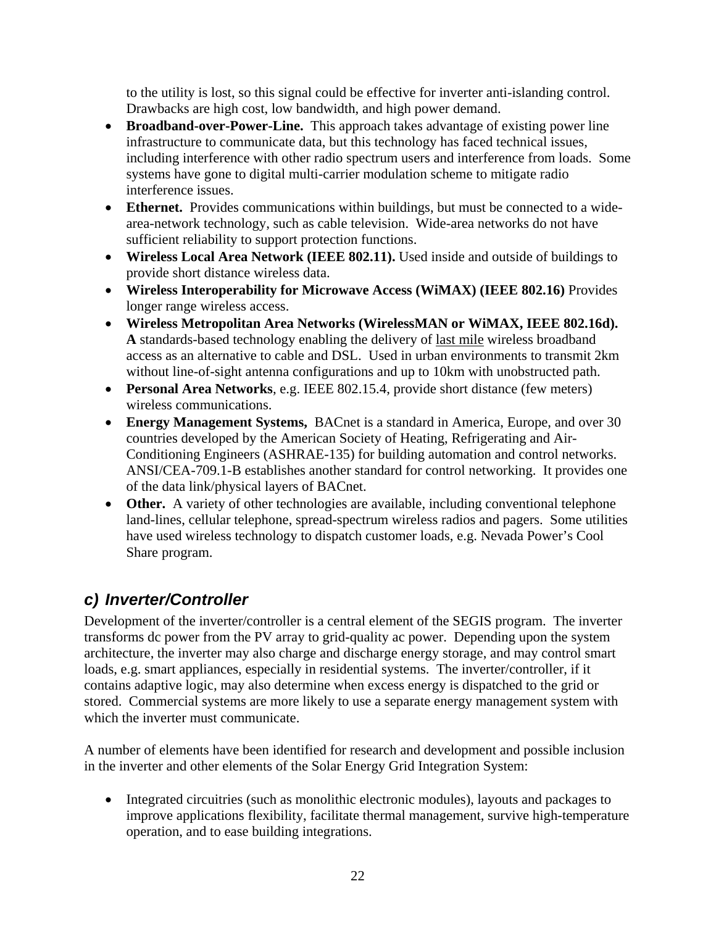<span id="page-21-0"></span>to the utility is lost, so this signal could be effective for inverter anti-islanding control. Drawbacks are high cost, low bandwidth, and high power demand.

- **Broadband-over-Power-Line.** This approach takes advantage of existing power line infrastructure to communicate data, but this technology has faced technical issues, including interference with other radio spectrum users and interference from loads. Some systems have gone to digital multi-carrier modulation scheme to mitigate radio interference issues.
- **Ethernet.** Provides communications within buildings, but must be connected to a widearea-network technology, such as cable television. Wide-area networks do not have sufficient reliability to support protection functions.
- **Wireless Local Area Network (IEEE 802.11).** Used inside and outside of buildings to provide short distance wireless data.
- **Wireless Interoperability for Microwave Access (WiMAX) (IEEE 802.16)** Provides longer range wireless access.
- **Wireless Metropolitan Area Networks (WirelessMAN or WiMAX, IEEE 802.16d). A** standards-based technology enabling the delivery of [last mile](http://en.wikipedia.org/wiki/Last_mile) wireless broadband access as an alternative to cable and DSL. Used in urban environments to transmit 2km without line-of-sight antenna configurations and up to 10km with unobstructed path.
- **Personal Area Networks**, e.g. IEEE 802.15.4, provide short distance (few meters) wireless communications.
- **Energy Management Systems,** BACnet is a standard in America, Europe, and over 30 countries developed by the American Society of Heating, Refrigerating and Air-Conditioning Engineers (ASHRAE-135) for building automation and control networks. ANSI/CEA-709.1-B establishes another standard for control networking. It provides one of the data link/physical layers of BACnet.
- Other. A variety of other technologies are available, including conventional telephone land-lines, cellular telephone, spread-spectrum wireless radios and pagers. Some utilities have used wireless technology to dispatch customer loads, e.g. Nevada Power's Cool Share program.

# *c) Inverter/Controller*

Development of the inverter/controller is a central element of the SEGIS program. The inverter transforms dc power from the PV array to grid-quality ac power. Depending upon the system architecture, the inverter may also charge and discharge energy storage, and may control smart loads, e.g. smart appliances, especially in residential systems. The inverter/controller, if it contains adaptive logic, may also determine when excess energy is dispatched to the grid or stored. Commercial systems are more likely to use a separate energy management system with which the inverter must communicate.

A number of elements have been identified for research and development and possible inclusion in the inverter and other elements of the Solar Energy Grid Integration System:

• Integrated circuitries (such as monolithic electronic modules), layouts and packages to improve applications flexibility, facilitate thermal management, survive high-temperature operation, and to ease building integrations.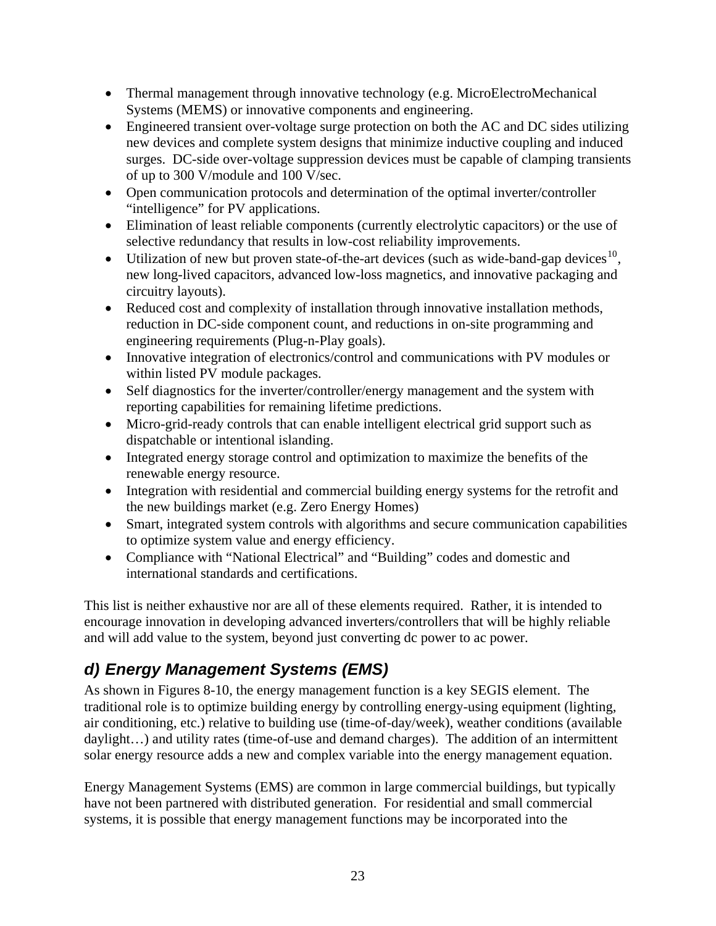- <span id="page-22-0"></span>• Thermal management through innovative technology (e.g. MicroElectroMechanical Systems (MEMS) or innovative components and engineering.
- Engineered transient over-voltage surge protection on both the AC and DC sides utilizing new devices and complete system designs that minimize inductive coupling and induced surges. DC-side over-voltage suppression devices must be capable of clamping transients of up to 300 V/module and 100 V/sec.
- Open communication protocols and determination of the optimal inverter/controller "intelligence" for PV applications.
- Elimination of least reliable components (currently electrolytic capacitors) or the use of selective redundancy that results in low-cost reliability improvements.
- Utilization of new but proven state-of-the-art devices (such as wide-band-gap devices<sup>[10](#page-28-1)</sup>, new long-lived capacitors, advanced low-loss magnetics, and innovative packaging and circuitry layouts).
- Reduced cost and complexity of installation through innovative installation methods, reduction in DC-side component count, and reductions in on-site programming and engineering requirements (Plug-n-Play goals).
- Innovative integration of electronics/control and communications with PV modules or within listed PV module packages.
- Self diagnostics for the inverter/controller/energy management and the system with reporting capabilities for remaining lifetime predictions.
- Micro-grid-ready controls that can enable intelligent electrical grid support such as dispatchable or intentional islanding.
- Integrated energy storage control and optimization to maximize the benefits of the renewable energy resource.
- Integration with residential and commercial building energy systems for the retrofit and the new buildings market (e.g. Zero Energy Homes)
- Smart, integrated system controls with algorithms and secure communication capabilities to optimize system value and energy efficiency.
- Compliance with "National Electrical" and "Building" codes and domestic and international standards and certifications.

This list is neither exhaustive nor are all of these elements required. Rather, it is intended to encourage innovation in developing advanced inverters/controllers that will be highly reliable and will add value to the system, beyond just converting dc power to ac power.

# *d) Energy Management Systems (EMS)*

As shown in Figures 8-10, the energy management function is a key SEGIS element. The traditional role is to optimize building energy by controlling energy-using equipment (lighting, air conditioning, etc.) relative to building use (time-of-day/week), weather conditions (available daylight…) and utility rates (time-of-use and demand charges). The addition of an intermittent solar energy resource adds a new and complex variable into the energy management equation.

Energy Management Systems (EMS) are common in large commercial buildings, but typically have not been partnered with distributed generation. For residential and small commercial systems, it is possible that energy management functions may be incorporated into the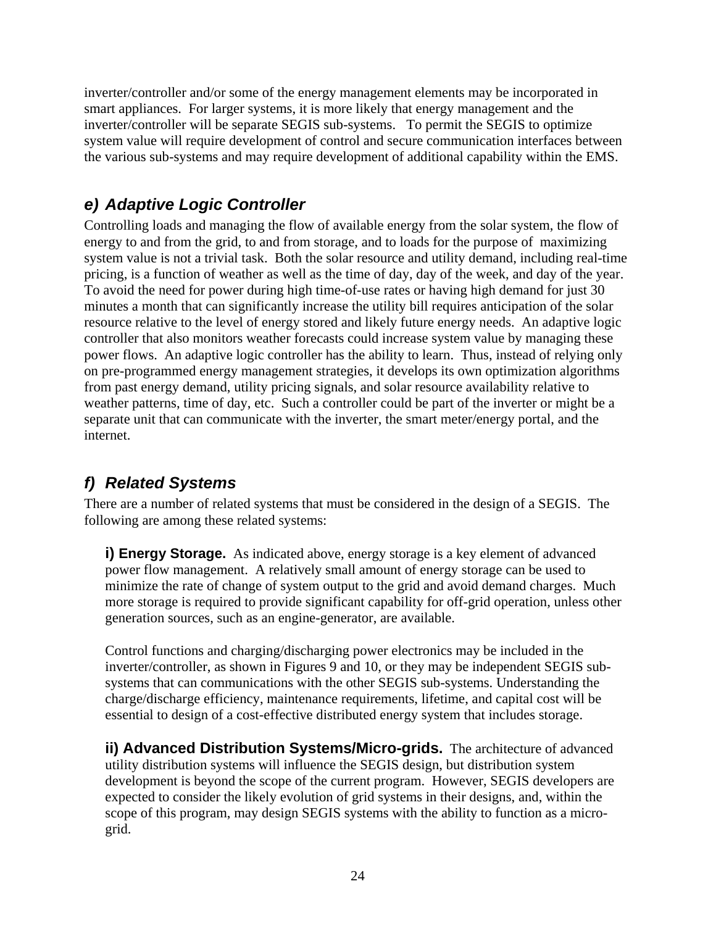<span id="page-23-0"></span>inverter/controller and/or some of the energy management elements may be incorporated in smart appliances. For larger systems, it is more likely that energy management and the inverter/controller will be separate SEGIS sub-systems. To permit the SEGIS to optimize system value will require development of control and secure communication interfaces between the various sub-systems and may require development of additional capability within the EMS.

## *e) Adaptive Logic Controller*

Controlling loads and managing the flow of available energy from the solar system, the flow of energy to and from the grid, to and from storage, and to loads for the purpose of maximizing system value is not a trivial task. Both the solar resource and utility demand, including real-time pricing, is a function of weather as well as the time of day, day of the week, and day of the year. To avoid the need for power during high time-of-use rates or having high demand for just 30 minutes a month that can significantly increase the utility bill requires anticipation of the solar resource relative to the level of energy stored and likely future energy needs. An adaptive logic controller that also monitors weather forecasts could increase system value by managing these power flows. An adaptive logic controller has the ability to learn. Thus, instead of relying only on pre-programmed energy management strategies, it develops its own optimization algorithms from past energy demand, utility pricing signals, and solar resource availability relative to weather patterns, time of day, etc. Such a controller could be part of the inverter or might be a separate unit that can communicate with the inverter, the smart meter/energy portal, and the internet.

# *f) Related Systems*

There are a number of related systems that must be considered in the design of a SEGIS. The following are among these related systems:

**i) Energy Storage.** As indicated above, energy storage is a key element of advanced power flow management. A relatively small amount of energy storage can be used to minimize the rate of change of system output to the grid and avoid demand charges. Much more storage is required to provide significant capability for off-grid operation, unless other generation sources, such as an engine-generator, are available.

Control functions and charging/discharging power electronics may be included in the inverter/controller, as shown in Figures 9 and 10, or they may be independent SEGIS subsystems that can communications with the other SEGIS sub-systems. Understanding the charge/discharge efficiency, maintenance requirements, lifetime, and capital cost will be essential to design of a cost-effective distributed energy system that includes storage.

**ii) Advanced Distribution Systems/Micro-grids.** The architecture of advanced utility distribution systems will influence the SEGIS design, but distribution system development is beyond the scope of the current program. However, SEGIS developers are expected to consider the likely evolution of grid systems in their designs, and, within the scope of this program, may design SEGIS systems with the ability to function as a microgrid.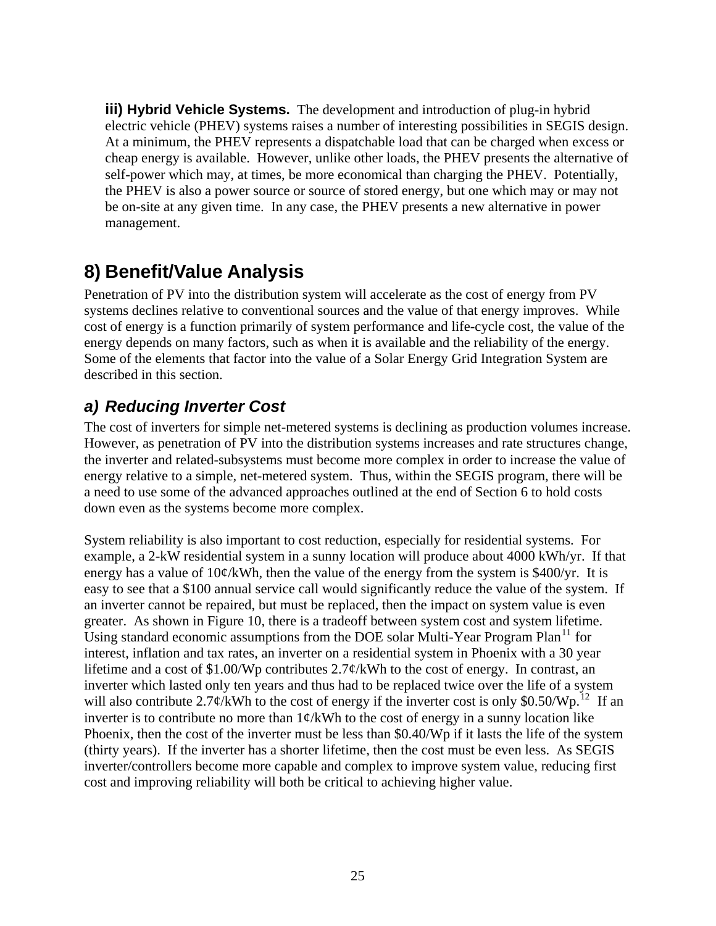<span id="page-24-0"></span>**iii) Hybrid Vehicle Systems.** The development and introduction of plug-in hybrid electric vehicle (PHEV) systems raises a number of interesting possibilities in SEGIS design. At a minimum, the PHEV represents a dispatchable load that can be charged when excess or cheap energy is available. However, unlike other loads, the PHEV presents the alternative of self-power which may, at times, be more economical than charging the PHEV. Potentially, the PHEV is also a power source or source of stored energy, but one which may or may not be on-site at any given time. In any case, the PHEV presents a new alternative in power management.

# **8) Benefit/Value Analysis**

Penetration of PV into the distribution system will accelerate as the cost of energy from PV systems declines relative to conventional sources and the value of that energy improves. While cost of energy is a function primarily of system performance and life-cycle cost, the value of the energy depends on many factors, such as when it is available and the reliability of the energy. Some of the elements that factor into the value of a Solar Energy Grid Integration System are described in this section.

# *a) Reducing Inverter Cost*

The cost of inverters for simple net-metered systems is declining as production volumes increase. However, as penetration of PV into the distribution systems increases and rate structures change, the inverter and related-subsystems must become more complex in order to increase the value of energy relative to a simple, net-metered system. Thus, within the SEGIS program, there will be a need to use some of the advanced approaches outlined at the end of Section 6 to hold costs down even as the systems become more complex.

<span id="page-24-1"></span>System reliability is also important to cost reduction, especially for residential systems. For example, a 2-kW residential system in a sunny location will produce about 4000 kWh/yr. If that energy has a value of  $10\phi$ /kWh, then the value of the energy from the system is \$400/yr. It is easy to see that a \$100 annual service call would significantly reduce the value of the system. If an inverter cannot be repaired, but must be replaced, then the impact on system value is even greater. As shown in Figure 10, there is a tradeoff between system cost and system lifetime. Using standard economic assumptions from the DOE solar Multi-Year Program Plan<sup>[11](#page-28-1)</sup> for interest, inflation and tax rates, an inverter on a residential system in Phoenix with a 30 year lifetime and a cost of \$1.00/Wp contributes 2.7¢/kWh to the cost of energy. In contrast, an inverter which lasted only ten years and thus had to be replaced twice over the life of a system will also contribute 2.7¢/kWh to the cost of energy if the inverter cost is only \$0.50/Wp.<sup>[12](#page-28-1)</sup> If an inverter is to contribute no more than  $1\phi/kWh$  to the cost of energy in a sunny location like Phoenix, then the cost of the inverter must be less than \$0.40/Wp if it lasts the life of the system (thirty years). If the inverter has a shorter lifetime, then the cost must be even less. As SEGIS inverter/controllers become more capable and complex to improve system value, reducing first cost and improving reliability will both be critical to achieving higher value.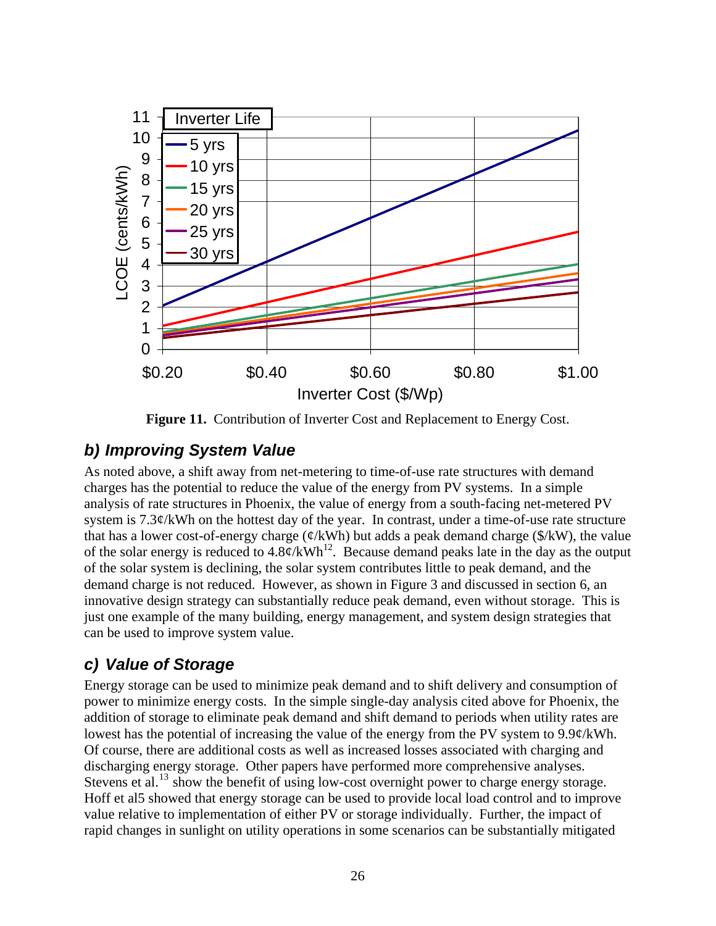<span id="page-25-0"></span>

Figure 11. Contribution of Inverter Cost and Replacement to Energy Cost.

### *b) Improving System Value*

As noted above, a shift away from net-metering to time-of-use rate structures with demand charges has the potential to reduce the value of the energy from PV systems. In a simple analysis of rate structures in Phoenix, the value of energy from a south-facing net-metered PV system is 7.3¢/kWh on the hottest day of the year. In contrast, under a time-of-use rate structure that has a lower cost-of-energy charge ( $\mathcal{C}/kWh$ ) but adds a peak demand charge ( $\mathcal{S}/kW$ ), the value of the solar energy is reduced to  $4.8\phi/\text{kWh}^{12}$ . Because demand peaks late in the day as the output of the solar system is declining, the solar system contributes little to peak demand, and the demand charge is not reduced. However, as shown in Figure 3 and discussed in section 6, an innovative design strategy can substantially reduce peak demand, even without storage. This is just one example of the many building, energy management, and system design strategies that can be used to improve system value.

### *c) Value of Storage*

<span id="page-25-1"></span>Energy storage can be used to minimize peak demand and to shift delivery and consumption of power to minimize energy costs. In the simple single-day analysis cited above for Phoenix, the addition of storage to eliminate peak demand and shift demand to periods when utility rates are lowest has the potential of increasing the value of the energy from the PV system to 9.9¢/kWh. Of course, there are additional costs as well as increased losses associated with charging and discharging energy storage. Other papers have performed more comprehensive analyses. Stevens et al.<sup>[13](#page-28-1)</sup> show the benefit of using low-cost overnight power to charge energy storage. Hoff et a[l5](#page-11-0) showed that energy storage can be used to provide local load control and to improve value relative to implementation of either PV or storage individually. Further, the impact of rapid changes in sunlight on utility operations in some scenarios can be substantially mitigated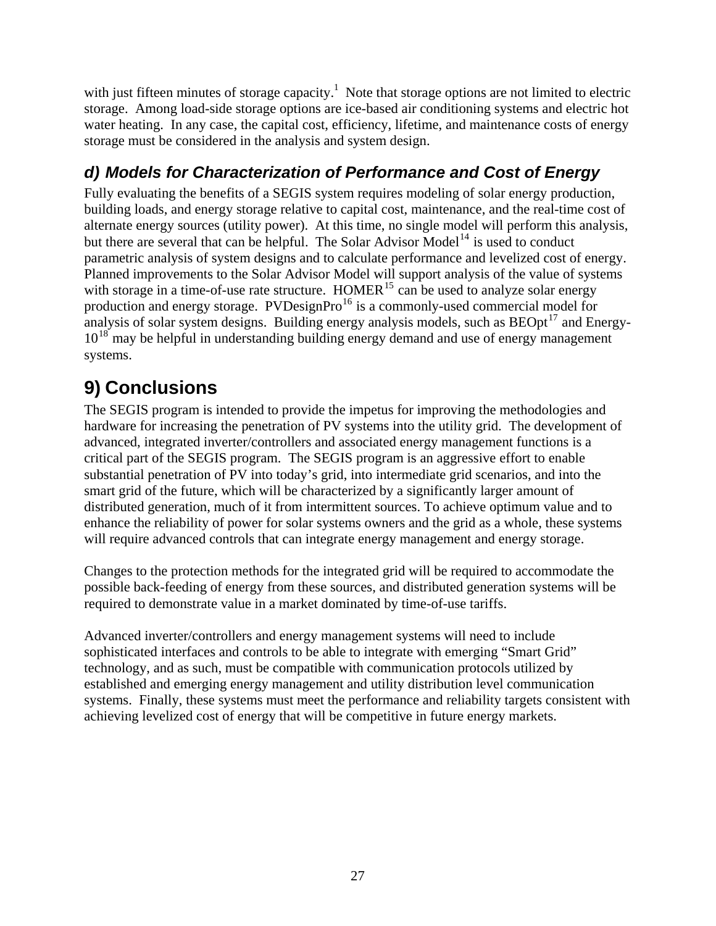<span id="page-26-0"></span>with just fifteen minutes of storage capacity.<sup>[1](#page-6-0)</sup> Note that storage options are not limited to electric storage. Among load-side storage options are ice-based air conditioning systems and electric hot water heating. In any case, the capital cost, efficiency, lifetime, and maintenance costs of energy storage must be considered in the analysis and system design.

# *d) Models for Characterization of Performance and Cost of Energy*

Fully evaluating the benefits of a SEGIS system requires modeling of solar energy production, building loads, and energy storage relative to capital cost, maintenance, and the real-time cost of alternate energy sources (utility power). At this time, no single model will perform this analysis, but there are several that can be helpful. The Solar Advisor Model<sup>[14](#page-28-1)</sup> is used to conduct parametric analysis of system designs and to calculate performance and levelized cost of energy. Planned improvements to the Solar Advisor Model will support analysis of the value of systems with storage in a time-of-use rate structure. HOMER<sup>[15](#page-28-1)</sup> can be used to analyze solar energy production and energy storage. PVDesignPro<sup>[16](#page-28-1)</sup> is a commonly-used commercial model for analysis of solar system designs. Building energy analysis models, such as  $\text{BEOpt}^{17}$  $\text{BEOpt}^{17}$  $\text{BEOpt}^{17}$  and Energy- $10^{18}$  $10^{18}$  $10^{18}$  may be helpful in understanding building energy demand and use of energy management systems.

# **9) Conclusions**

The SEGIS program is intended to provide the impetus for improving the methodologies and hardware for increasing the penetration of PV systems into the utility grid. The development of advanced, integrated inverter/controllers and associated energy management functions is a critical part of the SEGIS program. The SEGIS program is an aggressive effort to enable substantial penetration of PV into today's grid, into intermediate grid scenarios, and into the smart grid of the future, which will be characterized by a significantly larger amount of distributed generation, much of it from intermittent sources. To achieve optimum value and to enhance the reliability of power for solar systems owners and the grid as a whole, these systems will require advanced controls that can integrate energy management and energy storage.

Changes to the protection methods for the integrated grid will be required to accommodate the possible back-feeding of energy from these sources, and distributed generation systems will be required to demonstrate value in a market dominated by time-of-use tariffs.

Advanced inverter/controllers and energy management systems will need to include sophisticated interfaces and controls to be able to integrate with emerging "Smart Grid" technology, and as such, must be compatible with communication protocols utilized by established and emerging energy management and utility distribution level communication systems. Finally, these systems must meet the performance and reliability targets consistent with achieving levelized cost of energy that will be competitive in future energy markets.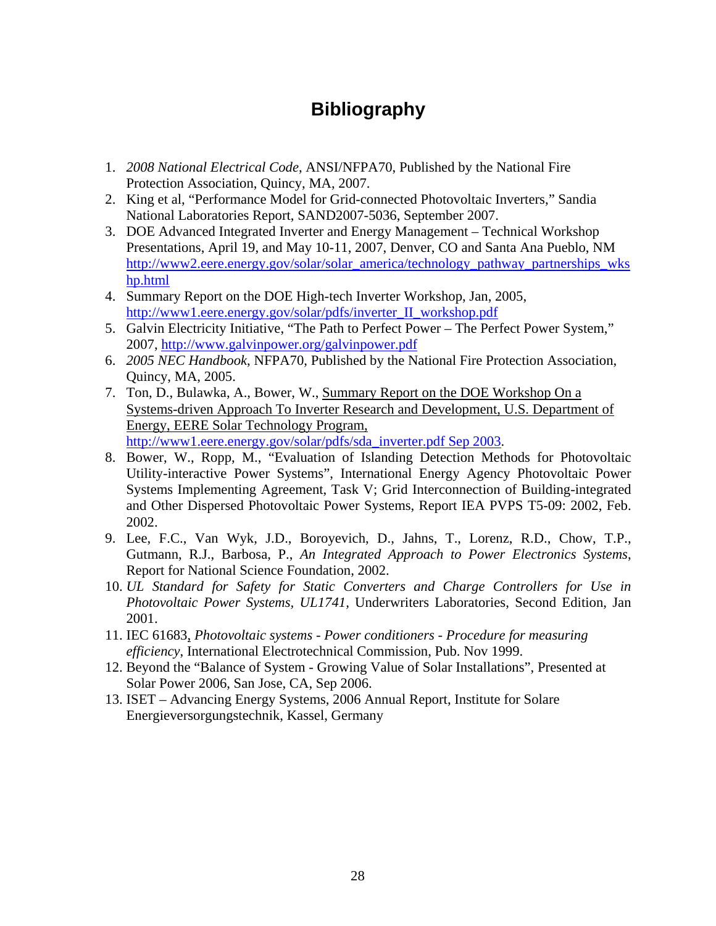# **Bibliography**

- <span id="page-27-0"></span>1. *2008 National Electrical Code*, ANSI/NFPA70, Published by the National Fire Protection Association, Quincy, MA, 2007.
- 2. King et al, "Performance Model for Grid-connected Photovoltaic Inverters," Sandia National Laboratories Report, SAND2007-5036, September 2007.
- 3. DOE Advanced Integrated Inverter and Energy Management Technical Workshop Presentations, April 19, and May 10-11, 2007, Denver, CO and Santa Ana Pueblo, NM [http://www2.eere.energy.gov/solar/solar\\_america/technology\\_pathway\\_partnerships\\_wks](http://www2.eere.energy.gov/solar/solar_america/technology_pathway_partnerships_wkshp.html) [hp.html](http://www2.eere.energy.gov/solar/solar_america/technology_pathway_partnerships_wkshp.html)
- 4. Summary Report on the DOE High-tech Inverter Workshop, Jan, 2005, [http://www1.eere.energy.gov/solar/pdfs/inverter\\_II\\_workshop.pdf](http://www1.eere.energy.gov/solar/pdfs/inverter_II_workshop.pdf)
- 5. Galvin Electricity Initiative, "The Path to Perfect Power The Perfect Power System," 2007, <http://www.galvinpower.org/galvinpower.pdf>
- 6. *2005 NEC Handbook*, NFPA70, Published by the National Fire Protection Association, Quincy, MA, 2005.
- 7. Ton, D., Bulawka, A., Bower, W., Summary Report on the DOE Workshop On a Systems-driven Approach To Inverter Research and Development, U.S. Department of Energy, EERE Solar Technology Program, [http://www1.eere.energy.gov/solar/pdfs/sda\\_inverter.pdf Sep 2003.](http://www1.eere.energy.gov/solar/pdfs/sda_inverter.pdf%20Sep%202003)
- 8. Bower, W., Ropp, M., "Evaluation of Islanding Detection Methods for Photovoltaic Utility-interactive Power Systems", International Energy Agency Photovoltaic Power Systems Implementing Agreement, Task V; Grid Interconnection of Building-integrated and Other Dispersed Photovoltaic Power Systems, Report IEA PVPS T5-09: 2002, Feb. 2002.
- 9. Lee, F.C., Van Wyk, J.D., Boroyevich, D., Jahns, T., Lorenz, R.D., Chow, T.P., Gutmann, R.J., Barbosa, P., *An Integrated Approach to Power Electronics Systems*, Report for National Science Foundation, 2002.
- 10. *UL Standard for Safety for Static Converters and Charge Controllers for Use in Photovoltaic Power Systems, UL1741,* Underwriters Laboratories, Second Edition, Jan 2001.
- 11. IEC 61683, *Photovoltaic systems Power conditioners Procedure for measuring efficiency*, International Electrotechnical Commission, Pub. Nov 1999.
- 12. Beyond the "Balance of System Growing Value of Solar Installations", Presented at Solar Power 2006, San Jose, CA, Sep 2006.
- 13. ISET Advancing Energy Systems, 2006 Annual Report, Institute for Solare Energieversorgungstechnik, Kassel, Germany